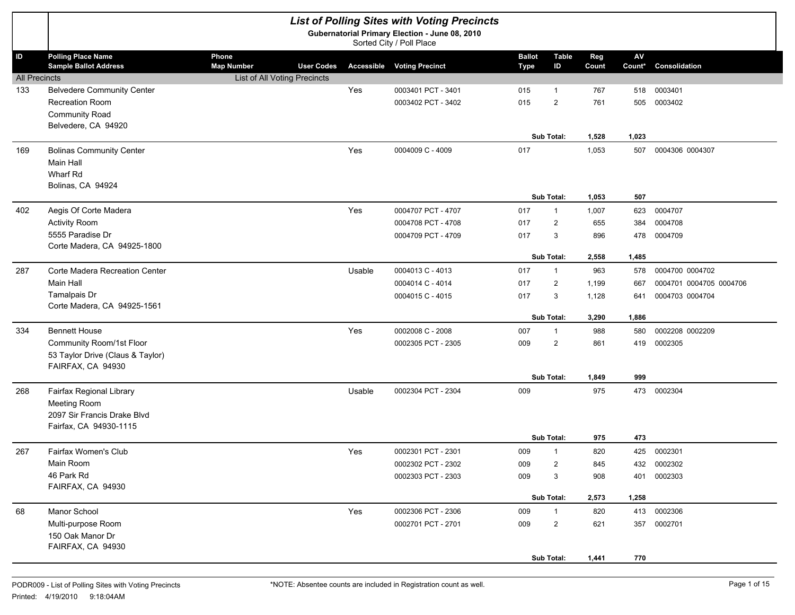|                            | <b>List of Polling Sites with Voting Precincts</b><br>Gubernatorial Primary Election - June 08, 2010<br>Sorted City / Poll Place |                                                                                 |        |                                                                |                              |                                                                 |                                         |                                     |                                                               |  |  |
|----------------------------|----------------------------------------------------------------------------------------------------------------------------------|---------------------------------------------------------------------------------|--------|----------------------------------------------------------------|------------------------------|-----------------------------------------------------------------|-----------------------------------------|-------------------------------------|---------------------------------------------------------------|--|--|
| ID<br><b>All Precincts</b> | <b>Polling Place Name</b><br><b>Sample Ballot Address</b>                                                                        | Phone<br><b>Map Number</b><br><b>User Codes</b><br>List of All Voting Precincts |        | <b>Accessible Voting Precinct</b>                              | <b>Ballot</b><br><b>Type</b> | <b>Table</b><br>ID                                              | Reg<br>Count                            | AV<br>Count*                        | Consolidation                                                 |  |  |
| 133                        | <b>Belvedere Community Center</b><br><b>Recreation Room</b><br><b>Community Road</b><br>Belvedere, CA 94920                      |                                                                                 | Yes    | 0003401 PCT - 3401<br>0003402 PCT - 3402                       | 015<br>015                   | $\mathbf{1}$<br>$\overline{2}$<br>Sub Total:                    | 767<br>761<br>1,528                     | 518<br>505<br>1,023                 | 0003401<br>0003402                                            |  |  |
| 169                        | <b>Bolinas Community Center</b><br><b>Main Hall</b><br>Wharf Rd<br>Bolinas, CA 94924                                             |                                                                                 | Yes    | 0004009 C - 4009                                               | 017                          |                                                                 | 1,053                                   | 507                                 | 0004306 0004307                                               |  |  |
| 402                        | Aegis Of Corte Madera<br><b>Activity Room</b><br>5555 Paradise Dr<br>Corte Madera, CA 94925-1800                                 |                                                                                 | Yes    | 0004707 PCT - 4707<br>0004708 PCT - 4708<br>0004709 PCT - 4709 | 017<br>017<br>017            | Sub Total:<br>$\mathbf{1}$<br>2<br>3                            | 1,053<br>1,007<br>655<br>896            | 507<br>623<br>384<br>478            | 0004707<br>0004708<br>0004709                                 |  |  |
| 287                        | Corte Madera Recreation Center<br><b>Main Hall</b><br>Tamalpais Dr<br>Corte Madera, CA 94925-1561                                |                                                                                 | Usable | 0004013 C - 4013<br>0004014 C - 4014<br>0004015 C - 4015       | 017<br>017<br>017            | Sub Total:<br>$\mathbf{1}$<br>$\overline{2}$<br>3<br>Sub Total: | 2,558<br>963<br>1,199<br>1,128<br>3,290 | 1,485<br>578<br>667<br>641<br>1,886 | 0004700 0004702<br>0004701 0004705 0004706<br>0004703 0004704 |  |  |
| 334                        | <b>Bennett House</b><br>Community Room/1st Floor<br>53 Taylor Drive (Claus & Taylor)<br>FAIRFAX, CA 94930                        |                                                                                 | Yes    | 0002008 C - 2008<br>0002305 PCT - 2305                         | 007<br>009                   | $\mathbf{1}$<br>$\overline{2}$<br>Sub Total:                    | 988<br>861<br>1,849                     | 580<br>419<br>999                   | 0002208 0002209<br>0002305                                    |  |  |
| 268                        | Fairfax Regional Library<br>Meeting Room<br>2097 Sir Francis Drake Blvd<br>Fairfax, CA 94930-1115                                |                                                                                 | Usable | 0002304 PCT - 2304                                             | 009                          |                                                                 | 975                                     |                                     | 473 0002304                                                   |  |  |
| 267                        | Fairfax Women's Club<br>Main Room<br>46 Park Rd<br>FAIRFAX, CA 94930                                                             |                                                                                 | Yes    | 0002301 PCT - 2301<br>0002302 PCT - 2302<br>0002303 PCT - 2303 | 009<br>009<br>009            | Sub Total:<br>$\mathbf{1}$<br>$\overline{2}$<br>3<br>Sub Total: | 975<br>820<br>845<br>908<br>2,573       | 473<br>432<br>401<br>1,258          | 425 0002301<br>0002302<br>0002303                             |  |  |
| 68                         | Manor School<br>Multi-purpose Room<br>150 Oak Manor Dr<br>FAIRFAX, CA 94930                                                      |                                                                                 | Yes    | 0002306 PCT - 2306<br>0002701 PCT - 2701                       | 009<br>009                   | 1<br>$\overline{2}$<br>Sub Total:                               | 820<br>621<br>1,441                     | 770                                 | 413 0002306<br>357 0002701                                    |  |  |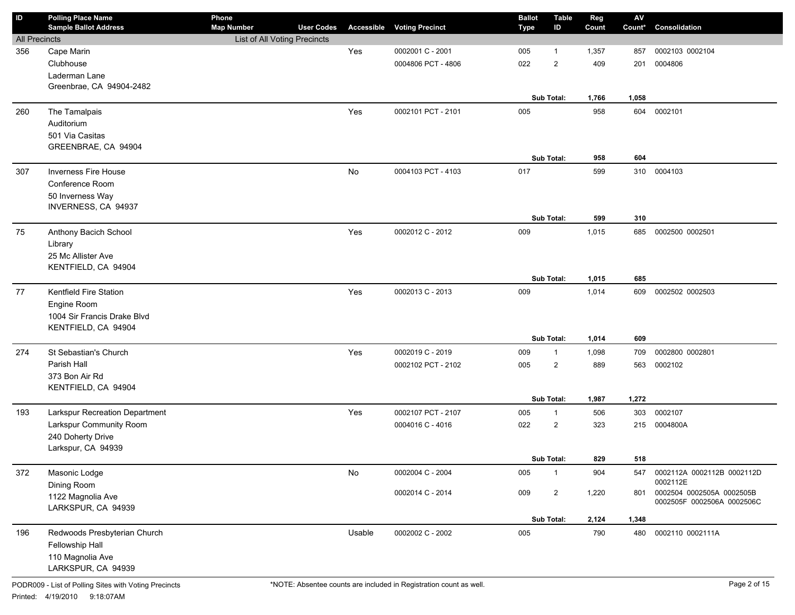| ID                   | <b>Polling Place Name</b><br><b>Sample Ballot Address</b> | Phone<br><b>Map Number</b>   | <b>User Codes</b> |        | <b>Accessible Voting Precinct</b> | <b>Ballot</b><br>Type | <b>Table</b><br>ID             | Reg<br>Count | $\mathsf{AV}$<br>Count* | Consolidation                                           |
|----------------------|-----------------------------------------------------------|------------------------------|-------------------|--------|-----------------------------------|-----------------------|--------------------------------|--------------|-------------------------|---------------------------------------------------------|
| <b>All Precincts</b> |                                                           | List of All Voting Precincts |                   |        |                                   |                       |                                |              |                         |                                                         |
| 356                  | Cape Marin                                                |                              |                   | Yes    | 0002001 C - 2001                  | 005                   | $\mathbf{1}$                   | 1,357        | 857                     | 0002103 0002104                                         |
|                      | Clubhouse                                                 |                              |                   |        | 0004806 PCT - 4806                | 022                   | $\overline{2}$                 | 409          | 201                     | 0004806                                                 |
|                      | Laderman Lane                                             |                              |                   |        |                                   |                       |                                |              |                         |                                                         |
|                      | Greenbrae, CA 94904-2482                                  |                              |                   |        |                                   |                       |                                |              |                         |                                                         |
|                      |                                                           |                              |                   |        |                                   |                       | Sub Total:                     | 1,766        | 1,058                   |                                                         |
| 260                  | The Tamalpais                                             |                              |                   | Yes    | 0002101 PCT - 2101                | 005                   |                                | 958          | 604                     | 0002101                                                 |
|                      | Auditorium                                                |                              |                   |        |                                   |                       |                                |              |                         |                                                         |
|                      | 501 Via Casitas                                           |                              |                   |        |                                   |                       |                                |              |                         |                                                         |
|                      | GREENBRAE, CA 94904                                       |                              |                   |        |                                   |                       |                                |              |                         |                                                         |
|                      |                                                           |                              |                   |        |                                   |                       | Sub Total:                     | 958          | 604                     |                                                         |
| 307                  | <b>Inverness Fire House</b>                               |                              |                   | No     | 0004103 PCT - 4103                | 017                   |                                | 599          | 310                     | 0004103                                                 |
|                      | Conference Room                                           |                              |                   |        |                                   |                       |                                |              |                         |                                                         |
|                      | 50 Inverness Way<br>INVERNESS, CA 94937                   |                              |                   |        |                                   |                       |                                |              |                         |                                                         |
|                      |                                                           |                              |                   |        |                                   |                       | Sub Total:                     | 599          | 310                     |                                                         |
| 75                   | Anthony Bacich School                                     |                              |                   | Yes    | 0002012 C - 2012                  | 009                   |                                | 1,015        | 685                     | 0002500 0002501                                         |
|                      | Library                                                   |                              |                   |        |                                   |                       |                                |              |                         |                                                         |
|                      | 25 Mc Allister Ave                                        |                              |                   |        |                                   |                       |                                |              |                         |                                                         |
|                      | KENTFIELD, CA 94904                                       |                              |                   |        |                                   |                       |                                |              |                         |                                                         |
|                      |                                                           |                              |                   |        |                                   |                       | Sub Total:                     | 1,015        | 685                     |                                                         |
| 77                   | Kentfield Fire Station                                    |                              |                   | Yes    | 0002013 C - 2013                  | 009                   |                                | 1,014        | 609                     | 0002502 0002503                                         |
|                      | Engine Room                                               |                              |                   |        |                                   |                       |                                |              |                         |                                                         |
|                      | 1004 Sir Francis Drake Blvd                               |                              |                   |        |                                   |                       |                                |              |                         |                                                         |
|                      | KENTFIELD, CA 94904                                       |                              |                   |        |                                   |                       |                                |              |                         |                                                         |
|                      |                                                           |                              |                   |        |                                   |                       | Sub Total:                     | 1,014        | 609                     |                                                         |
| 274                  | St Sebastian's Church                                     |                              |                   | Yes    | 0002019 C - 2019                  | 009                   | $\mathbf{1}$                   | 1,098        | 709                     | 0002800 0002801                                         |
|                      | Parish Hall                                               |                              |                   |        | 0002102 PCT - 2102                | 005                   | $\overline{2}$                 | 889          | 563                     | 0002102                                                 |
|                      | 373 Bon Air Rd                                            |                              |                   |        |                                   |                       |                                |              |                         |                                                         |
|                      | KENTFIELD, CA 94904                                       |                              |                   |        |                                   |                       | Sub Total:                     | 1,987        | 1,272                   |                                                         |
| 193                  | Larkspur Recreation Department                            |                              |                   | Yes    | 0002107 PCT - 2107                |                       |                                |              |                         | 0002107                                                 |
|                      | Larkspur Community Room                                   |                              |                   |        | 0004016 C - 4016                  | 005<br>022            | $\mathbf{1}$<br>$\overline{2}$ | 506<br>323   | 303                     | 0004800A                                                |
|                      | 240 Doherty Drive                                         |                              |                   |        |                                   |                       |                                |              | 215                     |                                                         |
|                      | Larkspur, CA 94939                                        |                              |                   |        |                                   |                       |                                |              |                         |                                                         |
|                      |                                                           |                              |                   |        |                                   |                       | Sub Total:                     | 829          | 518                     |                                                         |
| 372                  | Masonic Lodge                                             |                              |                   | No     | 0002004 C - 2004                  | 005                   | $\mathbf{1}$                   | 904          | 547                     | 0002112A 0002112B 0002112D                              |
|                      | Dining Room                                               |                              |                   |        |                                   |                       |                                |              |                         | 0002112E                                                |
|                      | 1122 Magnolia Ave                                         |                              |                   |        | 0002014 C - 2014                  | 009                   | $\overline{2}$                 | 1,220        | 801                     | 0002504 0002505A 0002505B<br>0002505F 0002506A 0002506C |
|                      | LARKSPUR, CA 94939                                        |                              |                   |        |                                   |                       |                                |              |                         |                                                         |
|                      |                                                           |                              |                   |        |                                   |                       | Sub Total:                     | 2,124        | 1,348                   |                                                         |
| 196                  | Redwoods Presbyterian Church                              |                              |                   | Usable | 0002002 C - 2002                  | 005                   |                                | 790          | 480                     | 0002110 0002111A                                        |
|                      | Fellowship Hall                                           |                              |                   |        |                                   |                       |                                |              |                         |                                                         |
|                      | 110 Magnolia Ave                                          |                              |                   |        |                                   |                       |                                |              |                         |                                                         |
|                      | LARKSPUR, CA 94939                                        |                              |                   |        |                                   |                       |                                |              |                         |                                                         |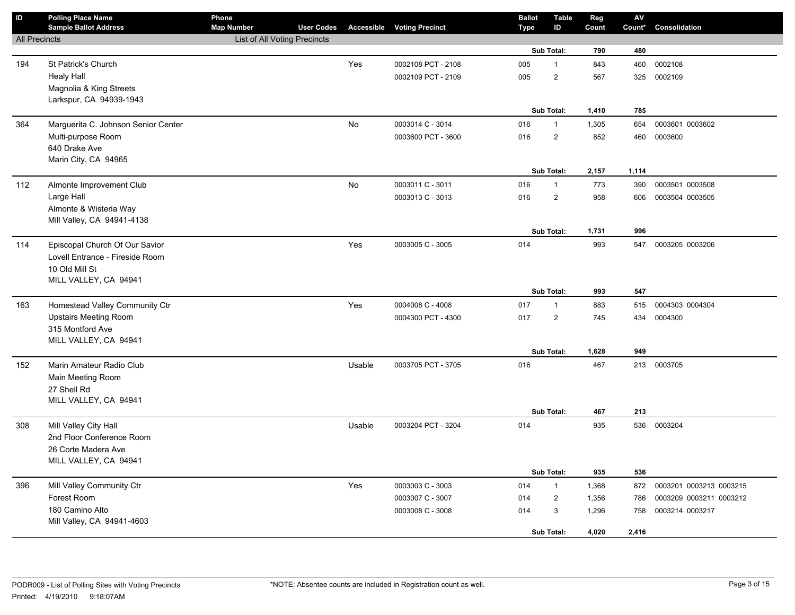| ID                   | <b>Polling Place Name</b><br><b>Sample Ballot Address</b> | Phone<br><b>Map Number</b>   | <b>User Codes</b> |           | <b>Accessible Voting Precinct</b> | <b>Ballot</b><br><b>Type</b> | <b>Table</b><br>ID | Reg<br>Count | ${\sf AV}$<br>Count* | Consolidation           |
|----------------------|-----------------------------------------------------------|------------------------------|-------------------|-----------|-----------------------------------|------------------------------|--------------------|--------------|----------------------|-------------------------|
| <b>All Precincts</b> |                                                           | List of All Voting Precincts |                   |           |                                   |                              |                    |              |                      |                         |
|                      |                                                           |                              |                   |           |                                   |                              | Sub Total:         | 790          | 480                  |                         |
| 194                  | St Patrick's Church                                       |                              |                   | Yes       | 0002108 PCT - 2108                | 005                          | $\mathbf{1}$       | 843          | 460                  | 0002108                 |
|                      | <b>Healy Hall</b>                                         |                              |                   |           | 0002109 PCT - 2109                | 005                          | $\mathbf 2$        | 567          | 325                  | 0002109                 |
|                      | Magnolia & King Streets                                   |                              |                   |           |                                   |                              |                    |              |                      |                         |
|                      | Larkspur, CA 94939-1943                                   |                              |                   |           |                                   |                              |                    |              |                      |                         |
|                      |                                                           |                              |                   |           |                                   |                              | Sub Total:         | 1,410        | 785                  |                         |
| 364                  | Marguerita C. Johnson Senior Center                       |                              |                   | No        | 0003014 C - 3014                  | 016                          | $\mathbf{1}$       | 1,305        | 654                  | 0003601 0003602         |
|                      | Multi-purpose Room                                        |                              |                   |           | 0003600 PCT - 3600                | 016                          | $\overline{2}$     | 852          | 460                  | 0003600                 |
|                      | 640 Drake Ave                                             |                              |                   |           |                                   |                              |                    |              |                      |                         |
|                      | Marin City, CA 94965                                      |                              |                   |           |                                   |                              |                    |              |                      |                         |
|                      |                                                           |                              |                   |           |                                   |                              | Sub Total:         | 2,157        | 1,114                |                         |
| 112                  | Almonte Improvement Club                                  |                              |                   | <b>No</b> | 0003011 C - 3011                  | 016                          | $\mathbf{1}$       | 773          | 390                  | 0003501 0003508         |
|                      | Large Hall                                                |                              |                   |           | 0003013 C - 3013                  | 016                          | $\overline{2}$     | 958          | 606                  | 0003504 0003505         |
|                      | Almonte & Wisteria Way<br>Mill Valley, CA 94941-4138      |                              |                   |           |                                   |                              |                    |              |                      |                         |
|                      |                                                           |                              |                   |           |                                   |                              | Sub Total:         | 1,731        | 996                  |                         |
| 114                  | Episcopal Church Of Our Savior                            |                              |                   | Yes       | 0003005 C - 3005                  | 014                          |                    | 993          | 547                  | 0003205 0003206         |
|                      | Lovell Entrance - Fireside Room                           |                              |                   |           |                                   |                              |                    |              |                      |                         |
|                      | 10 Old Mill St                                            |                              |                   |           |                                   |                              |                    |              |                      |                         |
|                      | MILL VALLEY, CA 94941                                     |                              |                   |           |                                   |                              |                    |              |                      |                         |
|                      |                                                           |                              |                   |           |                                   |                              | Sub Total:         | 993          | 547                  |                         |
| 163                  | Homestead Valley Community Ctr                            |                              |                   | Yes       | 0004008 C - 4008                  | 017                          | $\mathbf{1}$       | 883          | 515                  | 0004303 0004304         |
|                      | <b>Upstairs Meeting Room</b>                              |                              |                   |           | 0004300 PCT - 4300                | 017                          | $\overline{2}$     | 745          | 434                  | 0004300                 |
|                      | 315 Montford Ave                                          |                              |                   |           |                                   |                              |                    |              |                      |                         |
|                      | MILL VALLEY, CA 94941                                     |                              |                   |           |                                   |                              |                    |              |                      |                         |
|                      |                                                           |                              |                   |           |                                   |                              | Sub Total:         | 1,628        | 949                  |                         |
| 152                  | Marin Amateur Radio Club                                  |                              |                   | Usable    | 0003705 PCT - 3705                | 016                          |                    | 467          | 213                  | 0003705                 |
|                      | Main Meeting Room                                         |                              |                   |           |                                   |                              |                    |              |                      |                         |
|                      | 27 Shell Rd                                               |                              |                   |           |                                   |                              |                    |              |                      |                         |
|                      | MILL VALLEY, CA 94941                                     |                              |                   |           |                                   |                              | Sub Total:         | 467          | 213                  |                         |
|                      |                                                           |                              |                   |           |                                   |                              |                    |              |                      |                         |
| 308                  | Mill Valley City Hall                                     |                              |                   | Usable    | 0003204 PCT - 3204                | 014                          |                    | 935          |                      | 536 0003204             |
|                      | 2nd Floor Conference Room<br>26 Corte Madera Ave          |                              |                   |           |                                   |                              |                    |              |                      |                         |
|                      | MILL VALLEY, CA 94941                                     |                              |                   |           |                                   |                              |                    |              |                      |                         |
|                      |                                                           |                              |                   |           |                                   |                              | Sub Total:         | 935          | 536                  |                         |
| 396                  | Mill Valley Community Ctr                                 |                              |                   | Yes       | 0003003 C - 3003                  | 014                          | $\mathbf{1}$       | 1,368        | 872                  | 0003201 0003213 0003215 |
|                      | Forest Room                                               |                              |                   |           | 0003007 C - 3007                  | 014                          | $\overline{2}$     | 1,356        | 786                  | 0003209 0003211 0003212 |
|                      | 180 Camino Alto                                           |                              |                   |           | 0003008 C - 3008                  | 014                          | 3                  | 1,296        | 758                  | 0003214 0003217         |
|                      | Mill Valley, CA 94941-4603                                |                              |                   |           |                                   |                              |                    |              |                      |                         |
|                      |                                                           |                              |                   |           |                                   |                              | Sub Total:         | 4,020        | 2,416                |                         |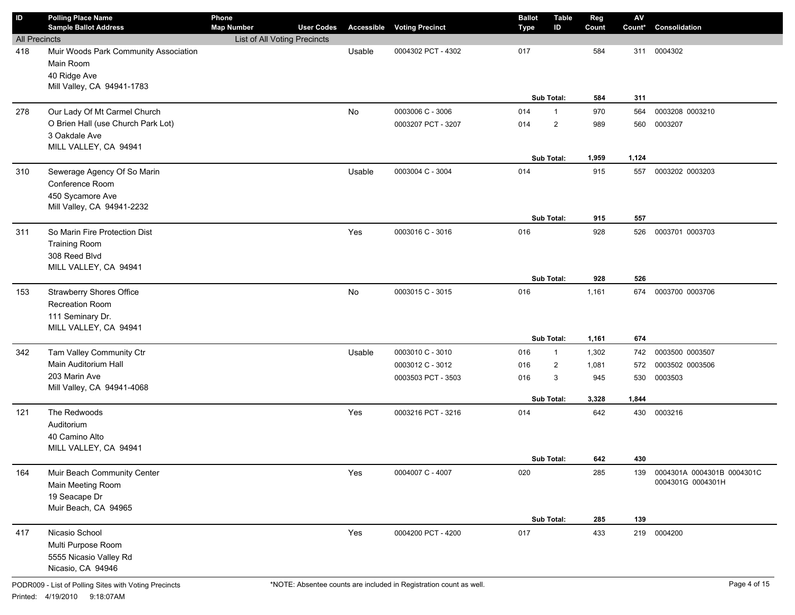| ID                   | <b>Polling Place Name</b><br><b>Sample Ballot Address</b>                                        | Phone<br><b>Map Number</b>   | <b>User Codes</b> | Accessible | <b>Voting Precinct</b> | <b>Ballot</b><br>Type | <b>Table</b><br>ID | Reg<br>Count | $\mathsf{A}\mathsf{V}$<br>Count* | Consolidation              |
|----------------------|--------------------------------------------------------------------------------------------------|------------------------------|-------------------|------------|------------------------|-----------------------|--------------------|--------------|----------------------------------|----------------------------|
| <b>All Precincts</b> |                                                                                                  | List of All Voting Precincts |                   |            |                        |                       |                    |              |                                  |                            |
| 418                  | Muir Woods Park Community Association<br>Main Room<br>40 Ridge Ave<br>Mill Valley, CA 94941-1783 |                              |                   | Usable     | 0004302 PCT - 4302     | 017                   |                    | 584          | 311                              | 0004302                    |
|                      |                                                                                                  |                              |                   |            |                        |                       | Sub Total:         | 584          | 311                              |                            |
| 278                  | Our Lady Of Mt Carmel Church                                                                     |                              |                   | No         | 0003006 C - 3006       | 014                   | $\mathbf{1}$       | 970          | 564                              | 0003208 0003210            |
|                      | O Brien Hall (use Church Park Lot)                                                               |                              |                   |            | 0003207 PCT - 3207     | 014                   | $\overline{2}$     | 989          | 560                              | 0003207                    |
|                      | 3 Oakdale Ave                                                                                    |                              |                   |            |                        |                       |                    |              |                                  |                            |
|                      | MILL VALLEY, CA 94941                                                                            |                              |                   |            |                        |                       |                    |              |                                  |                            |
|                      |                                                                                                  |                              |                   |            |                        |                       | Sub Total:         | 1,959        | 1,124                            |                            |
| 310                  | Sewerage Agency Of So Marin                                                                      |                              |                   | Usable     | 0003004 C - 3004       | 014                   |                    | 915          | 557                              | 0003202 0003203            |
|                      | Conference Room<br>450 Sycamore Ave                                                              |                              |                   |            |                        |                       |                    |              |                                  |                            |
|                      | Mill Valley, CA 94941-2232                                                                       |                              |                   |            |                        |                       |                    |              |                                  |                            |
|                      |                                                                                                  |                              |                   |            |                        |                       | Sub Total:         | 915          | 557                              |                            |
| 311                  | So Marin Fire Protection Dist                                                                    |                              |                   | Yes        | 0003016 C - 3016       | 016                   |                    | 928          | 526                              | 0003701 0003703            |
|                      | <b>Training Room</b>                                                                             |                              |                   |            |                        |                       |                    |              |                                  |                            |
|                      | 308 Reed Blvd                                                                                    |                              |                   |            |                        |                       |                    |              |                                  |                            |
|                      | MILL VALLEY, CA 94941                                                                            |                              |                   |            |                        |                       |                    |              |                                  |                            |
|                      |                                                                                                  |                              |                   |            |                        |                       | Sub Total:         | 928          | 526                              |                            |
| 153                  | <b>Strawberry Shores Office</b>                                                                  |                              |                   | No         | 0003015 C - 3015       | 016                   |                    | 1,161        | 674                              | 0003700 0003706            |
|                      | Recreation Room<br>111 Seminary Dr.                                                              |                              |                   |            |                        |                       |                    |              |                                  |                            |
|                      | MILL VALLEY, CA 94941                                                                            |                              |                   |            |                        |                       |                    |              |                                  |                            |
|                      |                                                                                                  |                              |                   |            |                        |                       | Sub Total:         | 1,161        | 674                              |                            |
| 342                  | Tam Valley Community Ctr                                                                         |                              |                   | Usable     | 0003010 C - 3010       | 016                   | $\mathbf{1}$       | 1,302        | 742                              | 0003500 0003507            |
|                      | Main Auditorium Hall                                                                             |                              |                   |            | 0003012 C - 3012       | 016                   | $\overline{2}$     | 1,081        | 572                              | 0003502 0003506            |
|                      | 203 Marin Ave                                                                                    |                              |                   |            | 0003503 PCT - 3503     | 016                   | 3                  | 945          | 530                              | 0003503                    |
|                      | Mill Valley, CA 94941-4068                                                                       |                              |                   |            |                        |                       |                    |              |                                  |                            |
|                      |                                                                                                  |                              |                   |            |                        |                       | Sub Total:         | 3,328        | 1,844                            |                            |
| 121                  | The Redwoods                                                                                     |                              |                   | Yes        | 0003216 PCT - 3216     | 014                   |                    | 642          | 430                              | 0003216                    |
|                      | Auditorium<br>40 Camino Alto                                                                     |                              |                   |            |                        |                       |                    |              |                                  |                            |
|                      | MILL VALLEY, CA 94941                                                                            |                              |                   |            |                        |                       |                    |              |                                  |                            |
|                      |                                                                                                  |                              |                   |            |                        |                       | Sub Total:         | 642          | 430                              |                            |
| 164                  | Muir Beach Community Center                                                                      |                              |                   | Yes        | 0004007 C - 4007       | 020                   |                    | 285          | 139                              | 0004301A 0004301B 0004301C |
|                      | Main Meeting Room                                                                                |                              |                   |            |                        |                       |                    |              |                                  | 0004301G 0004301H          |
|                      | 19 Seacape Dr                                                                                    |                              |                   |            |                        |                       |                    |              |                                  |                            |
|                      | Muir Beach, CA 94965                                                                             |                              |                   |            |                        |                       |                    |              |                                  |                            |
|                      |                                                                                                  |                              |                   |            |                        |                       | Sub Total:         | 285          | 139                              |                            |
| 417                  | Nicasio School                                                                                   |                              |                   | Yes        | 0004200 PCT - 4200     | 017                   |                    | 433          | 219                              | 0004200                    |
|                      | Multi Purpose Room                                                                               |                              |                   |            |                        |                       |                    |              |                                  |                            |
|                      | 5555 Nicasio Valley Rd<br>Nicasio, CA 94946                                                      |                              |                   |            |                        |                       |                    |              |                                  |                            |
|                      |                                                                                                  |                              |                   |            |                        |                       |                    |              |                                  |                            |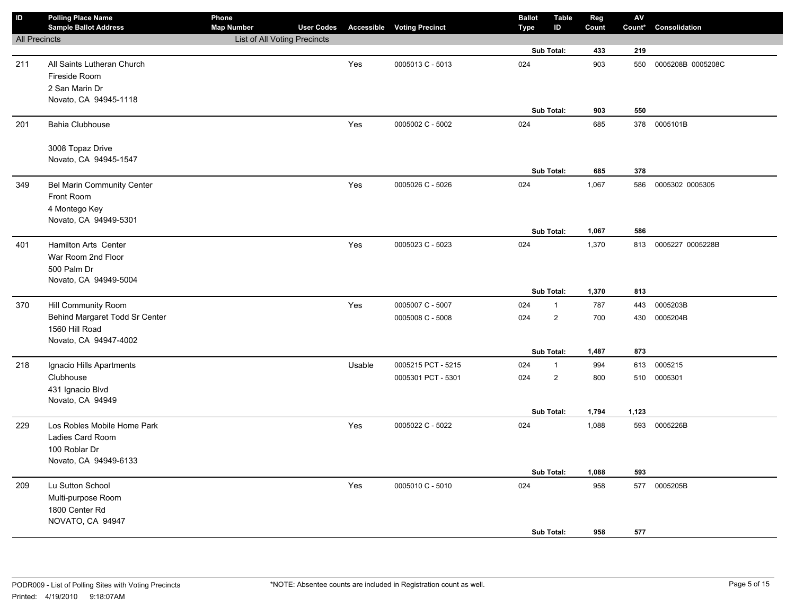| ID                   | <b>Polling Place Name</b><br><b>Sample Ballot Address</b> | Phone<br><b>Map Number</b>   | <b>User Codes</b> |        | <b>Accessible Voting Precinct</b> | <b>Ballot</b><br><b>Type</b> | <b>Table</b><br>ID | Reg<br>Count | ${\sf AV}$<br>Count* | Consolidation     |
|----------------------|-----------------------------------------------------------|------------------------------|-------------------|--------|-----------------------------------|------------------------------|--------------------|--------------|----------------------|-------------------|
| <b>All Precincts</b> |                                                           | List of All Voting Precincts |                   |        |                                   |                              |                    |              |                      |                   |
|                      |                                                           |                              |                   |        |                                   |                              | Sub Total:         | 433          | 219                  |                   |
| 211                  | All Saints Lutheran Church                                |                              |                   | Yes    | 0005013 C - 5013                  | 024                          |                    | 903          | 550                  | 0005208B 0005208C |
|                      | Fireside Room                                             |                              |                   |        |                                   |                              |                    |              |                      |                   |
|                      | 2 San Marin Dr                                            |                              |                   |        |                                   |                              |                    |              |                      |                   |
|                      | Novato, CA 94945-1118                                     |                              |                   |        |                                   |                              |                    |              |                      |                   |
|                      |                                                           |                              |                   |        |                                   |                              | Sub Total:         | 903          | 550                  |                   |
| 201                  | <b>Bahia Clubhouse</b>                                    |                              |                   | Yes    | 0005002 C - 5002                  | 024                          |                    | 685          | 378                  | 0005101B          |
|                      | 3008 Topaz Drive                                          |                              |                   |        |                                   |                              |                    |              |                      |                   |
|                      | Novato, CA 94945-1547                                     |                              |                   |        |                                   |                              |                    |              |                      |                   |
|                      |                                                           |                              |                   |        |                                   |                              | Sub Total:         | 685          | 378                  |                   |
| 349                  | Bel Marin Community Center                                |                              |                   | Yes    | 0005026 C - 5026                  | 024                          |                    | 1,067        | 586                  | 0005302 0005305   |
|                      | Front Room                                                |                              |                   |        |                                   |                              |                    |              |                      |                   |
|                      | 4 Montego Key                                             |                              |                   |        |                                   |                              |                    |              |                      |                   |
|                      | Novato, CA 94949-5301                                     |                              |                   |        |                                   |                              |                    |              |                      |                   |
|                      |                                                           |                              |                   |        |                                   |                              | Sub Total:         | 1,067        | 586                  |                   |
| 401                  | Hamilton Arts Center                                      |                              |                   | Yes    | 0005023 C - 5023                  | 024                          |                    | 1,370        | 813                  | 0005227 0005228B  |
|                      | War Room 2nd Floor                                        |                              |                   |        |                                   |                              |                    |              |                      |                   |
|                      | 500 Palm Dr                                               |                              |                   |        |                                   |                              |                    |              |                      |                   |
|                      | Novato, CA 94949-5004                                     |                              |                   |        |                                   |                              | Sub Total:         | 1,370        | 813                  |                   |
| 370                  | Hill Community Room                                       |                              |                   | Yes    | 0005007 C - 5007                  | 024                          | $\mathbf{1}$       | 787          | 443                  | 0005203B          |
|                      | Behind Margaret Todd Sr Center                            |                              |                   |        | 0005008 C - 5008                  | 024                          | $\overline{2}$     | 700          | 430                  | 0005204B          |
|                      | 1560 Hill Road                                            |                              |                   |        |                                   |                              |                    |              |                      |                   |
|                      | Novato, CA 94947-4002                                     |                              |                   |        |                                   |                              |                    |              |                      |                   |
|                      |                                                           |                              |                   |        |                                   |                              | Sub Total:         | 1,487        | 873                  |                   |
| 218                  | Ignacio Hills Apartments                                  |                              |                   | Usable | 0005215 PCT - 5215                | 024                          | $\mathbf{1}$       | 994          | 613                  | 0005215           |
|                      | Clubhouse                                                 |                              |                   |        | 0005301 PCT - 5301                | 024                          | $\overline{2}$     | 800          | 510                  | 0005301           |
|                      | 431 Ignacio Blvd                                          |                              |                   |        |                                   |                              |                    |              |                      |                   |
|                      | Novato, CA 94949                                          |                              |                   |        |                                   |                              |                    |              |                      |                   |
|                      |                                                           |                              |                   |        |                                   |                              | Sub Total:         | 1,794        | 1,123                |                   |
| 229                  | Los Robles Mobile Home Park                               |                              |                   | Yes    | 0005022 C - 5022                  | 024                          |                    | 1,088        |                      | 593 0005226B      |
|                      | Ladies Card Room<br>100 Roblar Dr                         |                              |                   |        |                                   |                              |                    |              |                      |                   |
|                      | Novato, CA 94949-6133                                     |                              |                   |        |                                   |                              |                    |              |                      |                   |
|                      |                                                           |                              |                   |        |                                   |                              | Sub Total:         | 1,088        | 593                  |                   |
| 209                  | Lu Sutton School                                          |                              |                   | Yes    | 0005010 C - 5010                  | 024                          |                    | 958          | 577                  | 0005205B          |
|                      | Multi-purpose Room                                        |                              |                   |        |                                   |                              |                    |              |                      |                   |
|                      | 1800 Center Rd                                            |                              |                   |        |                                   |                              |                    |              |                      |                   |
|                      | NOVATO, CA 94947                                          |                              |                   |        |                                   |                              |                    |              |                      |                   |
|                      |                                                           |                              |                   |        |                                   |                              | Sub Total:         | 958          | 577                  |                   |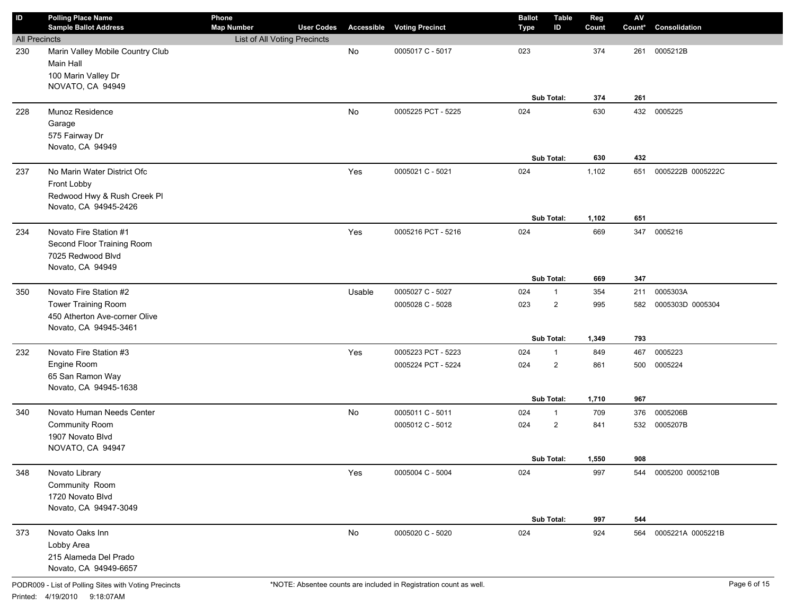| ID                   | <b>Polling Place Name</b><br><b>Sample Ballot Address</b>                                     | Phone<br><b>Map Number</b>   | <b>User Codes</b> | Accessible    | <b>Voting Precinct</b> | <b>Ballot</b><br>Type | <b>Table</b><br>ID | Reg<br>Count | $\mathsf{A}\mathsf{V}$<br>Count* | Consolidation     |
|----------------------|-----------------------------------------------------------------------------------------------|------------------------------|-------------------|---------------|------------------------|-----------------------|--------------------|--------------|----------------------------------|-------------------|
| <b>All Precincts</b> |                                                                                               | List of All Voting Precincts |                   |               |                        |                       |                    |              |                                  |                   |
| 230                  | Marin Valley Mobile Country Club<br>Main Hall<br>100 Marin Valley Dr                          |                              |                   | No            | 0005017 C - 5017       | 023                   |                    | 374          | 261                              | 0005212B          |
|                      | NOVATO, CA 94949                                                                              |                              |                   |               |                        |                       | Sub Total:         | 374          | 261                              |                   |
| 228                  | Munoz Residence                                                                               |                              |                   | No            | 0005225 PCT - 5225     | 024                   |                    | 630          | 432                              | 0005225           |
|                      | Garage                                                                                        |                              |                   |               |                        |                       |                    |              |                                  |                   |
|                      | 575 Fairway Dr<br>Novato, CA 94949                                                            |                              |                   |               |                        |                       |                    |              |                                  |                   |
|                      |                                                                                               |                              |                   |               |                        |                       | Sub Total:         | 630          | 432                              |                   |
| 237                  | No Marin Water District Ofc<br>Front Lobby<br>Redwood Hwy & Rush Creek Pl                     |                              |                   | Yes           | 0005021 C - 5021       | 024                   |                    | 1,102        | 651                              | 0005222B 0005222C |
|                      | Novato, CA 94945-2426                                                                         |                              |                   |               |                        |                       |                    |              |                                  |                   |
|                      |                                                                                               |                              |                   |               |                        |                       | Sub Total:         | 1,102        | 651                              |                   |
| 234                  | Novato Fire Station #1<br>Second Floor Training Room<br>7025 Redwood Blvd<br>Novato, CA 94949 |                              |                   | Yes           | 0005216 PCT - 5216     | 024                   |                    | 669          | 347                              | 0005216           |
|                      |                                                                                               |                              |                   |               |                        |                       | Sub Total:         | 669          | 347                              |                   |
| 350                  | Novato Fire Station #2                                                                        |                              |                   | Usable        | 0005027 C - 5027       | 024                   | $\mathbf{1}$       | 354          | 211                              | 0005303A          |
|                      | <b>Tower Training Room</b>                                                                    |                              |                   |               | 0005028 C - 5028       | 023                   | $\overline{2}$     | 995          | 582                              | 0005303D 0005304  |
|                      | 450 Atherton Ave-corner Olive<br>Novato, CA 94945-3461                                        |                              |                   |               |                        |                       |                    |              |                                  |                   |
|                      |                                                                                               |                              |                   |               |                        |                       | Sub Total:         | 1,349        | 793                              |                   |
| 232                  | Novato Fire Station #3                                                                        |                              |                   | Yes           | 0005223 PCT - 5223     | 024                   | $\mathbf{1}$       | 849          | 467                              | 0005223           |
|                      | Engine Room                                                                                   |                              |                   |               | 0005224 PCT - 5224     | 024                   | $\overline{2}$     | 861          | 500                              | 0005224           |
|                      | 65 San Ramon Way<br>Novato, CA 94945-1638                                                     |                              |                   |               |                        |                       |                    |              |                                  |                   |
|                      |                                                                                               |                              |                   |               |                        |                       | Sub Total:         | 1,710        | 967                              |                   |
| 340                  | Novato Human Needs Center                                                                     |                              |                   | No            | 0005011 C - 5011       | 024                   | $\mathbf{1}$       | 709          | 376                              | 0005206B          |
|                      | <b>Community Room</b>                                                                         |                              |                   |               | 0005012 C - 5012       | 024                   | $\overline{2}$     | 841          | 532                              | 0005207B          |
|                      | 1907 Novato Blvd<br>NOVATO, CA 94947                                                          |                              |                   |               |                        |                       |                    |              |                                  |                   |
|                      |                                                                                               |                              |                   |               |                        |                       | Sub Total:         | 1,550        | 908                              |                   |
| 348                  | Novato Library                                                                                |                              |                   | Yes           | 0005004 C - 5004       | 024                   |                    | 997          | 544                              | 0005200 0005210B  |
|                      | Community Room                                                                                |                              |                   |               |                        |                       |                    |              |                                  |                   |
|                      | 1720 Novato Blvd                                                                              |                              |                   |               |                        |                       |                    |              |                                  |                   |
|                      | Novato, CA 94947-3049                                                                         |                              |                   |               |                        |                       | Sub Total:         | 997          | 544                              |                   |
| 373                  | Novato Oaks Inn                                                                               |                              |                   | $\mathsf{No}$ | 0005020 C - 5020       | 024                   |                    | 924          | 564                              | 0005221A 0005221B |
|                      | Lobby Area                                                                                    |                              |                   |               |                        |                       |                    |              |                                  |                   |
|                      | 215 Alameda Del Prado                                                                         |                              |                   |               |                        |                       |                    |              |                                  |                   |
|                      | Novato, CA 94949-6657                                                                         |                              |                   |               |                        |                       |                    |              |                                  |                   |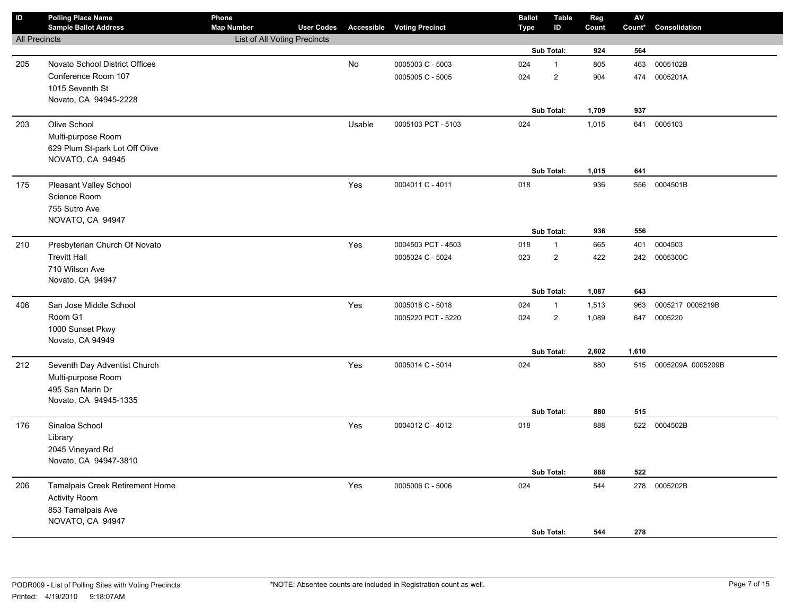| $\overline{D}$       | <b>Polling Place Name</b><br><b>Sample Ballot Address</b> | Phone<br><b>Map Number</b>   | <b>User Codes</b> |        | <b>Accessible Voting Precinct</b> | <b>Ballot</b><br><b>Type</b> | <b>Table</b><br>ID | Reg<br>Count | $\mathsf{AV}$<br>Count* | Consolidation         |
|----------------------|-----------------------------------------------------------|------------------------------|-------------------|--------|-----------------------------------|------------------------------|--------------------|--------------|-------------------------|-----------------------|
| <b>All Precincts</b> |                                                           | List of All Voting Precincts |                   |        |                                   |                              |                    |              |                         |                       |
|                      |                                                           |                              |                   |        |                                   |                              | Sub Total:         | 924          | 564                     |                       |
| 205                  | Novato School District Offices                            |                              |                   | No     | 0005003 C - 5003                  | 024                          | $\mathbf{1}$       | 805          | 463                     | 0005102B              |
|                      | Conference Room 107                                       |                              |                   |        | 0005005 C - 5005                  | 024                          | $\mathbf 2$        | 904          | 474                     | 0005201A              |
|                      | 1015 Seventh St                                           |                              |                   |        |                                   |                              |                    |              |                         |                       |
|                      | Novato, CA 94945-2228                                     |                              |                   |        |                                   |                              |                    |              |                         |                       |
|                      |                                                           |                              |                   |        |                                   |                              | Sub Total:         | 1,709        | 937                     |                       |
| 203                  | Olive School                                              |                              |                   | Usable | 0005103 PCT - 5103                | 024                          |                    | 1,015        | 641                     | 0005103               |
|                      | Multi-purpose Room                                        |                              |                   |        |                                   |                              |                    |              |                         |                       |
|                      | 629 Plum St-park Lot Off Olive                            |                              |                   |        |                                   |                              |                    |              |                         |                       |
|                      | NOVATO, CA 94945                                          |                              |                   |        |                                   |                              | Sub Total:         | 1,015        | 641                     |                       |
|                      |                                                           |                              |                   |        | 0004011 C - 4011                  | 018                          |                    | 936          | 556                     | 0004501B              |
| 175                  | Pleasant Valley School<br>Science Room                    |                              |                   | Yes    |                                   |                              |                    |              |                         |                       |
|                      | 755 Sutro Ave                                             |                              |                   |        |                                   |                              |                    |              |                         |                       |
|                      | NOVATO, CA 94947                                          |                              |                   |        |                                   |                              |                    |              |                         |                       |
|                      |                                                           |                              |                   |        |                                   |                              | Sub Total:         | 936          | 556                     |                       |
| 210                  | Presbyterian Church Of Novato                             |                              |                   | Yes    | 0004503 PCT - 4503                | 018                          | $\mathbf{1}$       | 665          | 401                     | 0004503               |
|                      | <b>Trevitt Hall</b>                                       |                              |                   |        | 0005024 C - 5024                  | 023                          | $\mathbf 2$        | 422          | 242                     | 0005300C              |
|                      | 710 Wilson Ave                                            |                              |                   |        |                                   |                              |                    |              |                         |                       |
|                      | Novato, CA 94947                                          |                              |                   |        |                                   |                              |                    |              |                         |                       |
|                      |                                                           |                              |                   |        |                                   |                              | Sub Total:         | 1,087        | 643                     |                       |
| 406                  | San Jose Middle School                                    |                              |                   | Yes    | 0005018 C - 5018                  | 024                          | $\mathbf{1}$       | 1,513        | 963                     | 0005217 0005219B      |
|                      | Room G1                                                   |                              |                   |        | 0005220 PCT - 5220                | 024                          | $\overline{2}$     | 1,089        | 647                     | 0005220               |
|                      | 1000 Sunset Pkwy                                          |                              |                   |        |                                   |                              |                    |              |                         |                       |
|                      | Novato, CA 94949                                          |                              |                   |        |                                   |                              |                    |              |                         |                       |
|                      |                                                           |                              |                   |        |                                   |                              | Sub Total:         | 2,602        | 1,610                   |                       |
| 212                  | Seventh Day Adventist Church                              |                              |                   | Yes    | 0005014 C - 5014                  | 024                          |                    | 880          |                         | 515 0005209A 0005209B |
|                      | Multi-purpose Room                                        |                              |                   |        |                                   |                              |                    |              |                         |                       |
|                      | 495 San Marin Dr<br>Novato, CA 94945-1335                 |                              |                   |        |                                   |                              |                    |              |                         |                       |
|                      |                                                           |                              |                   |        |                                   |                              | Sub Total:         | 880          | 515                     |                       |
| 176                  | Sinaloa School                                            |                              |                   | Yes    | 0004012 C - 4012                  | 018                          |                    | 888          |                         | 522 0004502B          |
|                      | Library                                                   |                              |                   |        |                                   |                              |                    |              |                         |                       |
|                      | 2045 Vineyard Rd                                          |                              |                   |        |                                   |                              |                    |              |                         |                       |
|                      | Novato, CA 94947-3810                                     |                              |                   |        |                                   |                              |                    |              |                         |                       |
|                      |                                                           |                              |                   |        |                                   |                              | Sub Total:         | 888          | 522                     |                       |
| 206                  | Tamalpais Creek Retirement Home                           |                              |                   | Yes    | 0005006 C - 5006                  | 024                          |                    | 544          | 278                     | 0005202B              |
|                      | <b>Activity Room</b>                                      |                              |                   |        |                                   |                              |                    |              |                         |                       |
|                      | 853 Tamalpais Ave                                         |                              |                   |        |                                   |                              |                    |              |                         |                       |
|                      | NOVATO, CA 94947                                          |                              |                   |        |                                   |                              |                    |              |                         |                       |
|                      |                                                           |                              |                   |        |                                   |                              | Sub Total:         | 544          | 278                     |                       |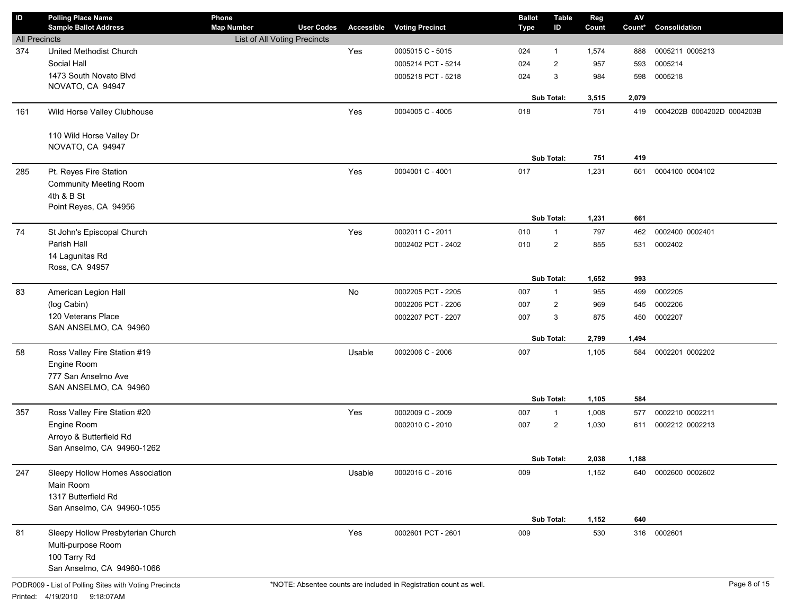| ID                   | <b>Polling Place Name</b><br><b>Sample Ballot Address</b> | Phone                                             |                   |        |                                   | <b>Ballot</b> | <b>Table</b>   | Reg   | ${\sf AV}$ | Consolidation              |
|----------------------|-----------------------------------------------------------|---------------------------------------------------|-------------------|--------|-----------------------------------|---------------|----------------|-------|------------|----------------------------|
| <b>All Precincts</b> |                                                           | <b>Map Number</b><br>List of All Voting Precincts | <b>User Codes</b> |        | <b>Accessible Voting Precinct</b> | Type          | ID             | Count | Count*     |                            |
| 374                  | United Methodist Church                                   |                                                   |                   | Yes    | 0005015 C - 5015                  | 024           | 1              | 1,574 | 888        | 0005211 0005213            |
|                      | Social Hall                                               |                                                   |                   |        |                                   |               |                |       |            |                            |
|                      | 1473 South Novato Blvd                                    |                                                   |                   |        | 0005214 PCT - 5214                | 024           | $\overline{2}$ | 957   | 593        | 0005214                    |
|                      | NOVATO, CA 94947                                          |                                                   |                   |        | 0005218 PCT - 5218                | 024           | 3              | 984   | 598        | 0005218                    |
|                      |                                                           |                                                   |                   |        |                                   |               | Sub Total:     | 3,515 | 2,079      |                            |
| 161                  | Wild Horse Valley Clubhouse                               |                                                   |                   | Yes    | 0004005 C - 4005                  | 018           |                | 751   | 419        | 0004202B 0004202D 0004203B |
|                      |                                                           |                                                   |                   |        |                                   |               |                |       |            |                            |
|                      | 110 Wild Horse Valley Dr                                  |                                                   |                   |        |                                   |               |                |       |            |                            |
|                      | NOVATO, CA 94947                                          |                                                   |                   |        |                                   |               |                |       |            |                            |
|                      |                                                           |                                                   |                   |        |                                   |               | Sub Total:     | 751   | 419        |                            |
| 285                  | Pt. Reyes Fire Station                                    |                                                   |                   | Yes    | 0004001 C - 4001                  | 017           |                | 1,231 | 661        | 0004100 0004102            |
|                      | <b>Community Meeting Room</b>                             |                                                   |                   |        |                                   |               |                |       |            |                            |
|                      | 4th & B St                                                |                                                   |                   |        |                                   |               |                |       |            |                            |
|                      | Point Reyes, CA 94956                                     |                                                   |                   |        |                                   |               |                |       |            |                            |
|                      |                                                           |                                                   |                   |        |                                   |               | Sub Total:     | 1,231 | 661        |                            |
| 74                   | St John's Episcopal Church                                |                                                   |                   | Yes    | 0002011 C - 2011                  | 010           | $\mathbf{1}$   | 797   | 462        | 0002400 0002401            |
|                      | Parish Hall                                               |                                                   |                   |        | 0002402 PCT - 2402                | 010           | $\overline{2}$ | 855   | 531        | 0002402                    |
|                      | 14 Lagunitas Rd                                           |                                                   |                   |        |                                   |               |                |       |            |                            |
|                      | Ross, CA 94957                                            |                                                   |                   |        |                                   |               |                |       |            |                            |
|                      |                                                           |                                                   |                   |        |                                   |               | Sub Total:     | 1,652 | 993        |                            |
| 83                   | American Legion Hall                                      |                                                   |                   | No     | 0002205 PCT - 2205                | 007           | $\mathbf{1}$   | 955   | 499        | 0002205                    |
|                      | (log Cabin)                                               |                                                   |                   |        | 0002206 PCT - 2206                | 007           | $\overline{2}$ | 969   | 545        | 0002206                    |
|                      | 120 Veterans Place                                        |                                                   |                   |        | 0002207 PCT - 2207                | 007           | 3              | 875   | 450        | 0002207                    |
|                      | SAN ANSELMO, CA 94960                                     |                                                   |                   |        |                                   |               |                |       |            |                            |
|                      |                                                           |                                                   |                   |        |                                   |               | Sub Total:     | 2,799 | 1,494      |                            |
| 58                   | Ross Valley Fire Station #19                              |                                                   |                   | Usable | 0002006 C - 2006                  | 007           |                | 1,105 | 584        | 0002201 0002202            |
|                      | Engine Room                                               |                                                   |                   |        |                                   |               |                |       |            |                            |
|                      | 777 San Anselmo Ave                                       |                                                   |                   |        |                                   |               |                |       |            |                            |
|                      | SAN ANSELMO, CA 94960                                     |                                                   |                   |        |                                   |               | Sub Total:     |       |            |                            |
|                      |                                                           |                                                   |                   |        |                                   |               |                | 1,105 | 584        |                            |
| 357                  | Ross Valley Fire Station #20                              |                                                   |                   | Yes    | 0002009 C - 2009                  | 007           | $\mathbf{1}$   | 1,008 | 577        | 0002210 0002211            |
|                      | Engine Room                                               |                                                   |                   |        | 0002010 C - 2010                  | 007           | $\overline{2}$ | 1,030 | 611        | 0002212 0002213            |
|                      | Arroyo & Butterfield Rd<br>San Anselmo, CA 94960-1262     |                                                   |                   |        |                                   |               |                |       |            |                            |
|                      |                                                           |                                                   |                   |        |                                   |               | Sub Total:     | 2,038 | 1,188      |                            |
| 247                  | Sleepy Hollow Homes Association                           |                                                   |                   | Usable | 0002016 C - 2016                  | 009           |                | 1,152 | 640        | 0002600 0002602            |
|                      | Main Room                                                 |                                                   |                   |        |                                   |               |                |       |            |                            |
|                      | 1317 Butterfield Rd                                       |                                                   |                   |        |                                   |               |                |       |            |                            |
|                      | San Anselmo, CA 94960-1055                                |                                                   |                   |        |                                   |               |                |       |            |                            |
|                      |                                                           |                                                   |                   |        |                                   |               | Sub Total:     | 1,152 | 640        |                            |
| 81                   | Sleepy Hollow Presbyterian Church                         |                                                   |                   | Yes    | 0002601 PCT - 2601                | 009           |                | 530   | 316        | 0002601                    |
|                      | Multi-purpose Room                                        |                                                   |                   |        |                                   |               |                |       |            |                            |
|                      | 100 Tarry Rd                                              |                                                   |                   |        |                                   |               |                |       |            |                            |
|                      | San Anselmo, CA 94960-1066                                |                                                   |                   |        |                                   |               |                |       |            |                            |
|                      |                                                           |                                                   |                   |        |                                   |               |                |       |            |                            |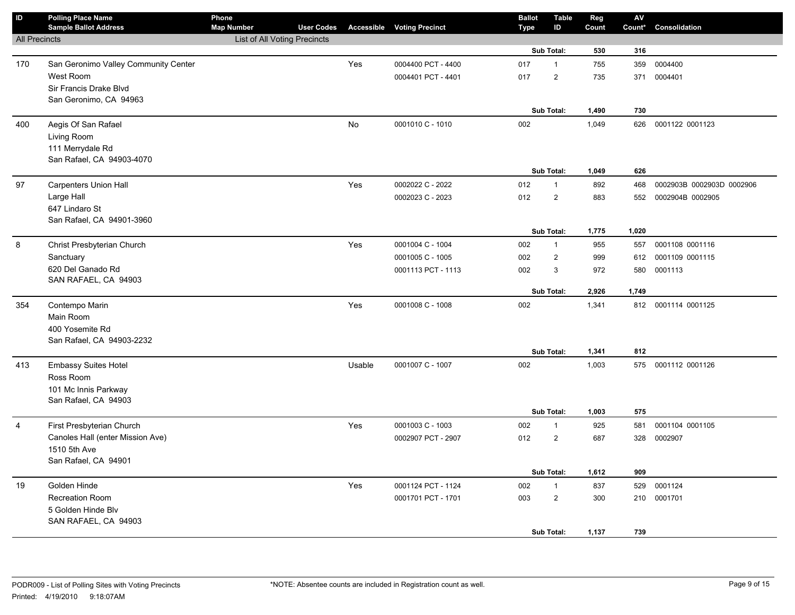| $\overline{D}$       | <b>Polling Place Name</b><br><b>Sample Ballot Address</b> | Phone<br><b>Map Number</b>   | <b>User Codes</b> |        | <b>Accessible Voting Precinct</b> | <b>Ballot</b><br>Type | <b>Table</b><br>ID | Reg<br>Count | $\mathsf{AV}$<br>Count* | Consolidation             |
|----------------------|-----------------------------------------------------------|------------------------------|-------------------|--------|-----------------------------------|-----------------------|--------------------|--------------|-------------------------|---------------------------|
| <b>All Precincts</b> |                                                           | List of All Voting Precincts |                   |        |                                   |                       |                    |              |                         |                           |
|                      |                                                           |                              |                   |        |                                   |                       | Sub Total:         | 530          | 316                     |                           |
| 170                  | San Geronimo Valley Community Center                      |                              |                   | Yes    | 0004400 PCT - 4400                | 017                   | $\mathbf{1}$       | 755          | 359                     | 0004400                   |
|                      | West Room                                                 |                              |                   |        | 0004401 PCT - 4401                | 017                   | $\overline{c}$     | 735          | 371                     | 0004401                   |
|                      | Sir Francis Drake Blvd                                    |                              |                   |        |                                   |                       |                    |              |                         |                           |
|                      | San Geronimo, CA 94963                                    |                              |                   |        |                                   |                       |                    |              |                         |                           |
|                      |                                                           |                              |                   |        |                                   |                       | Sub Total:         | 1,490        | 730                     |                           |
| 400                  | Aegis Of San Rafael                                       |                              |                   | No     | 0001010 C - 1010                  | 002                   |                    | 1,049        | 626                     | 0001122 0001123           |
|                      | Living Room                                               |                              |                   |        |                                   |                       |                    |              |                         |                           |
|                      | 111 Merrydale Rd                                          |                              |                   |        |                                   |                       |                    |              |                         |                           |
|                      | San Rafael, CA 94903-4070                                 |                              |                   |        |                                   |                       | Sub Total:         | 1,049        | 626                     |                           |
| 97                   | Carpenters Union Hall                                     |                              |                   | Yes    | 0002022 C - 2022                  | 012                   | $\mathbf{1}$       | 892          | 468                     | 0002903B 0002903D 0002906 |
|                      | Large Hall                                                |                              |                   |        | 0002023 C - 2023                  | 012                   | $\overline{2}$     | 883          | 552                     | 0002904B 0002905          |
|                      | 647 Lindaro St                                            |                              |                   |        |                                   |                       |                    |              |                         |                           |
|                      | San Rafael, CA 94901-3960                                 |                              |                   |        |                                   |                       |                    |              |                         |                           |
|                      |                                                           |                              |                   |        |                                   |                       | Sub Total:         | 1,775        | 1,020                   |                           |
| 8                    | Christ Presbyterian Church                                |                              |                   | Yes    | 0001004 C - 1004                  | 002                   | $\mathbf{1}$       | 955          | 557                     | 0001108 0001116           |
|                      | Sanctuary                                                 |                              |                   |        | 0001005 C - 1005                  | 002                   | $\overline{2}$     | 999          | 612                     | 0001109 0001115           |
|                      | 620 Del Ganado Rd                                         |                              |                   |        | 0001113 PCT - 1113                | 002                   | 3                  | 972          | 580                     | 0001113                   |
|                      | SAN RAFAEL, CA 94903                                      |                              |                   |        |                                   |                       |                    |              |                         |                           |
|                      |                                                           |                              |                   |        |                                   |                       | Sub Total:         | 2,926        | 1,749                   |                           |
| 354                  | Contempo Marin                                            |                              |                   | Yes    | 0001008 C - 1008                  | 002                   |                    | 1,341        |                         | 812 0001114 0001125       |
|                      | Main Room                                                 |                              |                   |        |                                   |                       |                    |              |                         |                           |
|                      | 400 Yosemite Rd                                           |                              |                   |        |                                   |                       |                    |              |                         |                           |
|                      | San Rafael, CA 94903-2232                                 |                              |                   |        |                                   |                       | Sub Total:         | 1,341        | 812                     |                           |
| 413                  | <b>Embassy Suites Hotel</b>                               |                              |                   | Usable | 0001007 C - 1007                  | 002                   |                    | 1,003        |                         | 575 0001112 0001126       |
|                      | Ross Room                                                 |                              |                   |        |                                   |                       |                    |              |                         |                           |
|                      | 101 Mc Innis Parkway                                      |                              |                   |        |                                   |                       |                    |              |                         |                           |
|                      | San Rafael, CA 94903                                      |                              |                   |        |                                   |                       |                    |              |                         |                           |
|                      |                                                           |                              |                   |        |                                   |                       | <b>Sub Total:</b>  | 1,003        | 575                     |                           |
| 4                    | First Presbyterian Church                                 |                              |                   | Yes    | 0001003 C - 1003                  | 002                   | $\mathbf{1}$       | 925          | 581                     | 0001104 0001105           |
|                      | Canoles Hall (enter Mission Ave)                          |                              |                   |        | 0002907 PCT - 2907                | 012                   | $\overline{c}$     | 687          | 328                     | 0002907                   |
|                      | 1510 5th Ave                                              |                              |                   |        |                                   |                       |                    |              |                         |                           |
|                      | San Rafael, CA 94901                                      |                              |                   |        |                                   |                       |                    |              |                         |                           |
|                      |                                                           |                              |                   |        |                                   |                       | Sub Total:         | 1,612        | 909                     |                           |
| 19                   | Golden Hinde                                              |                              |                   | Yes    | 0001124 PCT - 1124                | 002                   | $\mathbf{1}$       | 837          | 529                     | 0001124                   |
|                      | <b>Recreation Room</b>                                    |                              |                   |        | 0001701 PCT - 1701                | 003                   | $\overline{2}$     | 300          | 210                     | 0001701                   |
|                      | 5 Golden Hinde Blv                                        |                              |                   |        |                                   |                       |                    |              |                         |                           |
|                      | SAN RAFAEL, CA 94903                                      |                              |                   |        |                                   |                       | Sub Total:         | 1,137        | 739                     |                           |
|                      |                                                           |                              |                   |        |                                   |                       |                    |              |                         |                           |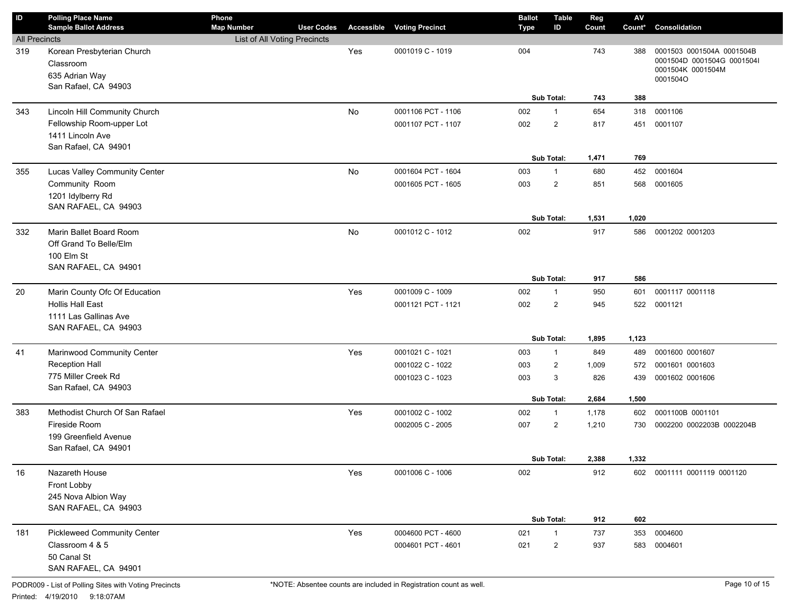| ID                   | <b>Polling Place Name</b>          | Phone                        |                   |     |                                   | <b>Ballot</b> | <b>Table</b>   | Reg   | $\mathsf{A}\mathsf{V}$ |                                                         |
|----------------------|------------------------------------|------------------------------|-------------------|-----|-----------------------------------|---------------|----------------|-------|------------------------|---------------------------------------------------------|
|                      | <b>Sample Ballot Address</b>       | <b>Map Number</b>            | <b>User Codes</b> |     | <b>Accessible Voting Precinct</b> | Type          | ID             | Count | Count*                 | Consolidation                                           |
| <b>All Precincts</b> |                                    | List of All Voting Precincts |                   |     |                                   |               |                |       |                        |                                                         |
| 319                  | Korean Presbyterian Church         |                              |                   | Yes | 0001019 C - 1019                  | 004           |                | 743   | 388                    | 0001503 0001504A 0001504B<br>0001504D 0001504G 0001504I |
|                      | Classroom                          |                              |                   |     |                                   |               |                |       |                        | 0001504K 0001504M                                       |
|                      | 635 Adrian Way                     |                              |                   |     |                                   |               |                |       |                        | 0001504O                                                |
|                      | San Rafael, CA 94903               |                              |                   |     |                                   |               |                |       |                        |                                                         |
|                      |                                    |                              |                   |     |                                   |               | Sub Total:     | 743   | 388                    |                                                         |
| 343                  | Lincoln Hill Community Church      |                              |                   | No  | 0001106 PCT - 1106                | 002           | $\mathbf{1}$   | 654   | 318                    | 0001106                                                 |
|                      | Fellowship Room-upper Lot          |                              |                   |     | 0001107 PCT - 1107                | 002           | $\overline{2}$ | 817   | 451                    | 0001107                                                 |
|                      | 1411 Lincoln Ave                   |                              |                   |     |                                   |               |                |       |                        |                                                         |
|                      | San Rafael, CA 94901               |                              |                   |     |                                   |               |                |       |                        |                                                         |
|                      |                                    |                              |                   |     |                                   |               | Sub Total:     | 1,471 | 769                    |                                                         |
| 355                  | Lucas Valley Community Center      |                              |                   | No  | 0001604 PCT - 1604                | 003           | $\mathbf{1}$   | 680   | 452                    | 0001604                                                 |
|                      | Community Room                     |                              |                   |     | 0001605 PCT - 1605                | 003           | $\overline{2}$ | 851   | 568                    | 0001605                                                 |
|                      | 1201 Idylberry Rd                  |                              |                   |     |                                   |               |                |       |                        |                                                         |
|                      | SAN RAFAEL, CA 94903               |                              |                   |     |                                   |               |                |       |                        |                                                         |
|                      |                                    |                              |                   |     |                                   |               | Sub Total:     | 1,531 | 1,020                  |                                                         |
| 332                  | Marin Ballet Board Room            |                              |                   | No  | 0001012 C - 1012                  | 002           |                | 917   | 586                    | 0001202 0001203                                         |
|                      | Off Grand To Belle/Elm             |                              |                   |     |                                   |               |                |       |                        |                                                         |
|                      | 100 Elm St                         |                              |                   |     |                                   |               |                |       |                        |                                                         |
|                      | SAN RAFAEL, CA 94901               |                              |                   |     |                                   |               |                |       |                        |                                                         |
|                      |                                    |                              |                   |     |                                   |               | Sub Total:     | 917   | 586                    |                                                         |
| 20                   | Marin County Ofc Of Education      |                              |                   | Yes | 0001009 C - 1009                  | 002           | $\mathbf{1}$   | 950   | 601                    | 0001117 0001118                                         |
|                      | <b>Hollis Hall East</b>            |                              |                   |     | 0001121 PCT - 1121                | 002           | $\overline{2}$ | 945   | 522                    | 0001121                                                 |
|                      | 1111 Las Gallinas Ave              |                              |                   |     |                                   |               |                |       |                        |                                                         |
|                      | SAN RAFAEL, CA 94903               |                              |                   |     |                                   |               |                |       |                        |                                                         |
|                      |                                    |                              |                   |     |                                   |               | Sub Total:     | 1,895 | 1,123                  |                                                         |
| 41                   | Marinwood Community Center         |                              |                   | Yes | 0001021 C - 1021                  | 003           | $\mathbf{1}$   | 849   | 489                    | 0001600 0001607                                         |
|                      | Reception Hall                     |                              |                   |     | 0001022 C - 1022                  | 003           | $\overline{2}$ | 1,009 | 572                    | 0001601 0001603                                         |
|                      | 775 Miller Creek Rd                |                              |                   |     | 0001023 C - 1023                  | 003           | 3              | 826   | 439                    | 0001602 0001606                                         |
|                      | San Rafael, CA 94903               |                              |                   |     |                                   |               |                |       |                        |                                                         |
|                      |                                    |                              |                   |     |                                   |               | Sub Total:     | 2,684 | 1,500                  |                                                         |
| 383                  | Methodist Church Of San Rafael     |                              |                   | Yes | 0001002 C - 1002                  | 002           | $\mathbf{1}$   | 1,178 | 602                    | 0001100B 0001101                                        |
|                      | Fireside Room                      |                              |                   |     | 0002005 C - 2005                  | 007           | $\overline{2}$ | 1,210 | 730                    | 0002200 0002203B 0002204B                               |
|                      | 199 Greenfield Avenue              |                              |                   |     |                                   |               |                |       |                        |                                                         |
|                      | San Rafael, CA 94901               |                              |                   |     |                                   |               |                |       |                        |                                                         |
|                      |                                    |                              |                   |     |                                   |               | Sub Total:     | 2,388 | 1,332                  |                                                         |
| 16                   | Nazareth House                     |                              |                   | Yes | 0001006 C - 1006                  | 002           |                | 912   |                        | 602 0001111 0001119 0001120                             |
|                      | Front Lobby                        |                              |                   |     |                                   |               |                |       |                        |                                                         |
|                      | 245 Nova Albion Way                |                              |                   |     |                                   |               |                |       |                        |                                                         |
|                      | SAN RAFAEL, CA 94903               |                              |                   |     |                                   |               |                |       |                        |                                                         |
|                      |                                    |                              |                   |     |                                   |               | Sub Total:     | 912   | 602                    |                                                         |
| 181                  | <b>Pickleweed Community Center</b> |                              |                   | Yes | 0004600 PCT - 4600                | 021           | $\mathbf{1}$   | 737   | 353                    | 0004600                                                 |
|                      | Classroom 4 & 5                    |                              |                   |     | 0004601 PCT - 4601                | 021           | $\overline{c}$ | 937   | 583                    | 0004601                                                 |
|                      | 50 Canal St                        |                              |                   |     |                                   |               |                |       |                        |                                                         |
|                      | SAN RAFAEL, CA 94901               |                              |                   |     |                                   |               |                |       |                        |                                                         |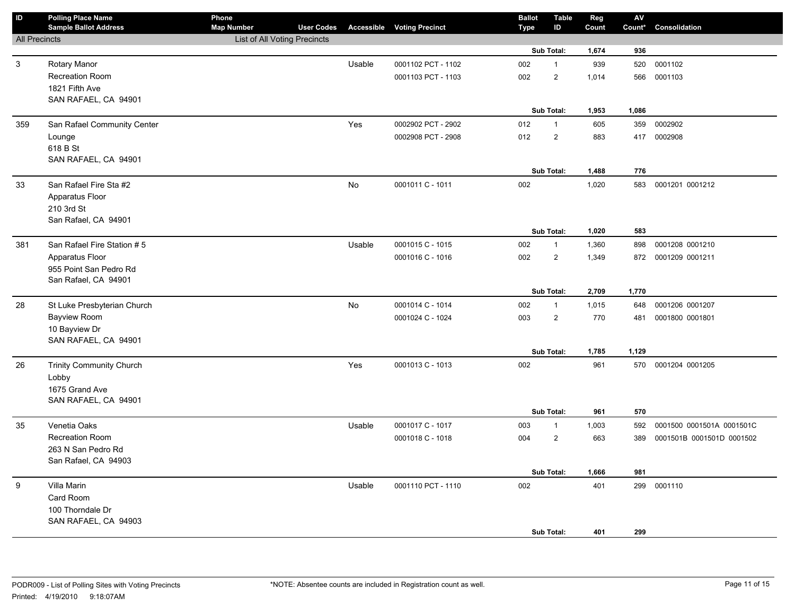| $\sf ID$             | <b>Polling Place Name</b><br><b>Sample Ballot Address</b> | Phone<br><b>Map Number</b>   | <b>User Codes</b> |        | <b>Accessible Voting Precinct</b> | <b>Ballot</b><br><b>Type</b> | <b>Table</b><br>ID | Reg<br>Count | ${\sf AV}$<br>Count* | Consolidation             |
|----------------------|-----------------------------------------------------------|------------------------------|-------------------|--------|-----------------------------------|------------------------------|--------------------|--------------|----------------------|---------------------------|
| <b>All Precincts</b> |                                                           | List of All Voting Precincts |                   |        |                                   |                              |                    |              |                      |                           |
|                      |                                                           |                              |                   |        |                                   |                              | Sub Total:         | 1,674        | 936                  |                           |
| $\mathbf{3}$         | Rotary Manor                                              |                              |                   | Usable | 0001102 PCT - 1102                | 002                          | $\mathbf{1}$       | 939          | 520                  | 0001102                   |
|                      | <b>Recreation Room</b>                                    |                              |                   |        | 0001103 PCT - 1103                | 002                          | $\overline{c}$     | 1,014        | 566                  | 0001103                   |
|                      | 1821 Fifth Ave                                            |                              |                   |        |                                   |                              |                    |              |                      |                           |
|                      | SAN RAFAEL, CA 94901                                      |                              |                   |        |                                   |                              |                    |              |                      |                           |
|                      |                                                           |                              |                   |        |                                   |                              | Sub Total:         | 1,953        | 1,086                |                           |
| 359                  | San Rafael Community Center                               |                              |                   | Yes    | 0002902 PCT - 2902                | 012                          | $\mathbf{1}$       | 605          | 359                  | 0002902                   |
|                      | Lounge                                                    |                              |                   |        | 0002908 PCT - 2908                | 012                          | $\overline{2}$     | 883          | 417                  | 0002908                   |
|                      | 618 B St                                                  |                              |                   |        |                                   |                              |                    |              |                      |                           |
|                      | SAN RAFAEL, CA 94901                                      |                              |                   |        |                                   |                              |                    |              |                      |                           |
|                      |                                                           |                              |                   |        |                                   |                              | Sub Total:         | 1,488        | 776                  |                           |
| 33                   | San Rafael Fire Sta #2                                    |                              |                   | No     | 0001011 C - 1011                  | 002                          |                    | 1,020        | 583                  | 0001201 0001212           |
|                      | Apparatus Floor                                           |                              |                   |        |                                   |                              |                    |              |                      |                           |
|                      | 210 3rd St<br>San Rafael, CA 94901                        |                              |                   |        |                                   |                              |                    |              |                      |                           |
|                      |                                                           |                              |                   |        |                                   |                              | Sub Total:         | 1,020        | 583                  |                           |
| 381                  | San Rafael Fire Station #5                                |                              |                   | Usable | 0001015 C - 1015                  | 002                          | $\mathbf{1}$       | 1,360        | 898                  | 0001208 0001210           |
|                      | Apparatus Floor                                           |                              |                   |        | 0001016 C - 1016                  | 002                          | $\overline{2}$     | 1,349        | 872                  | 0001209 0001211           |
|                      | 955 Point San Pedro Rd                                    |                              |                   |        |                                   |                              |                    |              |                      |                           |
|                      | San Rafael, CA 94901                                      |                              |                   |        |                                   |                              |                    |              |                      |                           |
|                      |                                                           |                              |                   |        |                                   |                              | Sub Total:         | 2,709        | 1,770                |                           |
| 28                   | St Luke Presbyterian Church                               |                              |                   | No     | 0001014 C - 1014                  | 002                          | $\mathbf{1}$       | 1,015        | 648                  | 0001206 0001207           |
|                      | <b>Bayview Room</b>                                       |                              |                   |        | 0001024 C - 1024                  | 003                          | $\overline{c}$     | 770          | 481                  | 0001800 0001801           |
|                      | 10 Bayview Dr                                             |                              |                   |        |                                   |                              |                    |              |                      |                           |
|                      | SAN RAFAEL, CA 94901                                      |                              |                   |        |                                   |                              |                    |              |                      |                           |
|                      |                                                           |                              |                   |        |                                   |                              | Sub Total:         | 1,785        | 1,129                |                           |
| 26                   | <b>Trinity Community Church</b>                           |                              |                   | Yes    | 0001013 C - 1013                  | 002                          |                    | 961          | 570                  | 0001204 0001205           |
|                      | Lobby                                                     |                              |                   |        |                                   |                              |                    |              |                      |                           |
|                      | 1675 Grand Ave                                            |                              |                   |        |                                   |                              |                    |              |                      |                           |
|                      | SAN RAFAEL, CA 94901                                      |                              |                   |        |                                   |                              |                    |              |                      |                           |
|                      |                                                           |                              |                   |        |                                   |                              | Sub Total:         | 961          | 570                  |                           |
| 35                   | Venetia Oaks                                              |                              |                   | Usable | 0001017 C - 1017                  | 003                          | $\mathbf{1}$       | 1,003        | 592                  | 0001500 0001501A 0001501C |
|                      | <b>Recreation Room</b>                                    |                              |                   |        | 0001018 C - 1018                  | 004                          | $\overline{c}$     | 663          | 389                  | 0001501B 0001501D 0001502 |
|                      | 263 N San Pedro Rd                                        |                              |                   |        |                                   |                              |                    |              |                      |                           |
|                      | San Rafael, CA 94903                                      |                              |                   |        |                                   |                              | Sub Total:         | 1,666        | 981                  |                           |
| 9                    | Villa Marin                                               |                              |                   | Usable | 0001110 PCT - 1110                | 002                          |                    | 401          | 299                  | 0001110                   |
|                      | Card Room                                                 |                              |                   |        |                                   |                              |                    |              |                      |                           |
|                      | 100 Thorndale Dr                                          |                              |                   |        |                                   |                              |                    |              |                      |                           |
|                      | SAN RAFAEL, CA 94903                                      |                              |                   |        |                                   |                              |                    |              |                      |                           |
|                      |                                                           |                              |                   |        |                                   |                              | Sub Total:         | 401          | 299                  |                           |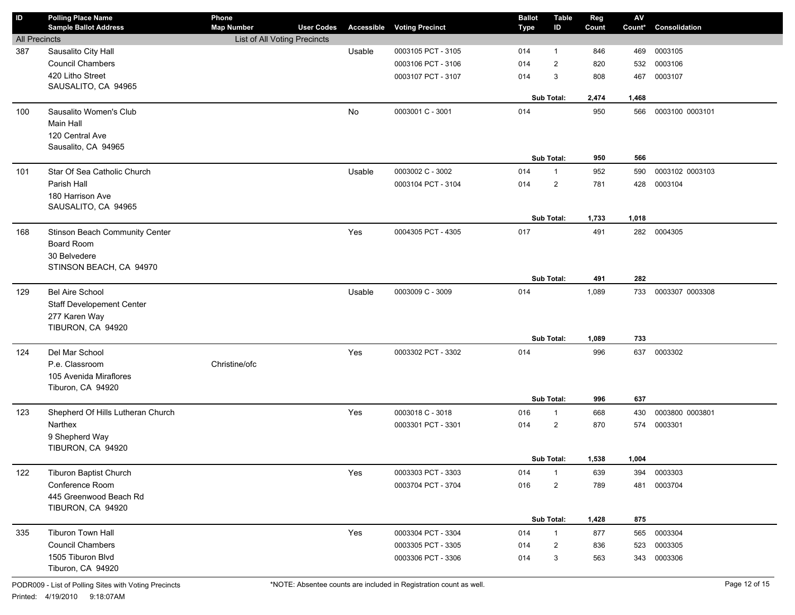| ID                   | <b>Polling Place Name</b><br><b>Sample Ballot Address</b> | Phone<br><b>Map Number</b>   | <b>User Codes</b> | <b>Accessible</b> | <b>Voting Precinct</b> | <b>Ballot</b><br><b>Type</b> | <b>Table</b><br>ID             | Reg<br>Count | ${\sf AV}$<br>Count* | Consolidation   |
|----------------------|-----------------------------------------------------------|------------------------------|-------------------|-------------------|------------------------|------------------------------|--------------------------------|--------------|----------------------|-----------------|
| <b>All Precincts</b> |                                                           | List of All Voting Precincts |                   |                   |                        |                              |                                |              |                      |                 |
| 387                  | Sausalito City Hall                                       |                              |                   | Usable            | 0003105 PCT - 3105     | 014                          | 1                              | 846          | 469                  | 0003105         |
|                      | <b>Council Chambers</b>                                   |                              |                   |                   | 0003106 PCT - 3106     | 014                          | $\overline{2}$                 | 820          | 532                  | 0003106         |
|                      | 420 Litho Street                                          |                              |                   |                   | 0003107 PCT - 3107     | 014                          | 3                              | 808          | 467                  | 0003107         |
|                      | SAUSALITO, CA 94965                                       |                              |                   |                   |                        |                              |                                |              |                      |                 |
|                      |                                                           |                              |                   |                   |                        |                              | Sub Total:                     | 2,474        | 1,468                |                 |
| 100                  | Sausalito Women's Club                                    |                              |                   | No                | 0003001 C - 3001       | 014                          |                                | 950          | 566                  | 0003100 0003101 |
|                      | Main Hall                                                 |                              |                   |                   |                        |                              |                                |              |                      |                 |
|                      | 120 Central Ave                                           |                              |                   |                   |                        |                              |                                |              |                      |                 |
|                      | Sausalito, CA 94965                                       |                              |                   |                   |                        |                              |                                |              |                      |                 |
|                      |                                                           |                              |                   |                   |                        |                              | Sub Total:                     | 950          | 566                  |                 |
| 101                  | Star Of Sea Catholic Church                               |                              |                   | Usable            | 0003002 C - 3002       | 014                          | $\mathbf{1}$                   | 952          | 590                  | 0003102 0003103 |
|                      | Parish Hall                                               |                              |                   |                   | 0003104 PCT - 3104     | 014                          | $\overline{2}$                 | 781          | 428                  | 0003104         |
|                      | 180 Harrison Ave<br>SAUSALITO, CA 94965                   |                              |                   |                   |                        |                              |                                |              |                      |                 |
|                      |                                                           |                              |                   |                   |                        |                              | Sub Total:                     | 1,733        | 1,018                |                 |
| 168                  | Stinson Beach Community Center                            |                              |                   | Yes               | 0004305 PCT - 4305     | 017                          |                                | 491          | 282                  | 0004305         |
|                      | <b>Board Room</b>                                         |                              |                   |                   |                        |                              |                                |              |                      |                 |
|                      | 30 Belvedere                                              |                              |                   |                   |                        |                              |                                |              |                      |                 |
|                      | STINSON BEACH, CA 94970                                   |                              |                   |                   |                        |                              |                                |              |                      |                 |
|                      |                                                           |                              |                   |                   |                        |                              | Sub Total:                     | 491          | 282                  |                 |
| 129                  | <b>Bel Aire School</b>                                    |                              |                   | Usable            | 0003009 C - 3009       | 014                          |                                | 1,089        | 733                  | 0003307 0003308 |
|                      | <b>Staff Developement Center</b>                          |                              |                   |                   |                        |                              |                                |              |                      |                 |
|                      | 277 Karen Way                                             |                              |                   |                   |                        |                              |                                |              |                      |                 |
|                      | TIBURON, CA 94920                                         |                              |                   |                   |                        |                              |                                |              |                      |                 |
|                      |                                                           |                              |                   |                   |                        |                              | Sub Total:                     | 1,089        | 733                  |                 |
| 124                  | Del Mar School                                            |                              |                   | Yes               | 0003302 PCT - 3302     | 014                          |                                | 996          | 637                  | 0003302         |
|                      | P.e. Classroom                                            | Christine/ofc                |                   |                   |                        |                              |                                |              |                      |                 |
|                      | 105 Avenida Miraflores                                    |                              |                   |                   |                        |                              |                                |              |                      |                 |
|                      | Tiburon, CA 94920                                         |                              |                   |                   |                        |                              | Sub Total:                     | 996          | 637                  |                 |
|                      | Shepherd Of Hills Lutheran Church                         |                              |                   | Yes               | 0003018 C - 3018       |                              |                                | 668          |                      | 0003800 0003801 |
| 123                  | Narthex                                                   |                              |                   |                   | 0003301 PCT - 3301     | 016                          | $\mathbf{1}$<br>$\overline{2}$ | 870          | 430<br>574           | 0003301         |
|                      | 9 Shepherd Way                                            |                              |                   |                   |                        | 014                          |                                |              |                      |                 |
|                      | TIBURON, CA 94920                                         |                              |                   |                   |                        |                              |                                |              |                      |                 |
|                      |                                                           |                              |                   |                   |                        |                              | Sub Total:                     | 1,538        | 1,004                |                 |
| 122                  | <b>Tiburon Baptist Church</b>                             |                              |                   | Yes               | 0003303 PCT - 3303     | 014                          | $\mathbf{1}$                   | 639          | 394                  | 0003303         |
|                      | Conference Room                                           |                              |                   |                   | 0003704 PCT - 3704     | 016                          | $\overline{c}$                 | 789          | 481                  | 0003704         |
|                      | 445 Greenwood Beach Rd                                    |                              |                   |                   |                        |                              |                                |              |                      |                 |
|                      | TIBURON, CA 94920                                         |                              |                   |                   |                        |                              |                                |              |                      |                 |
|                      |                                                           |                              |                   |                   |                        |                              | Sub Total:                     | 1,428        | 875                  |                 |
| 335                  | Tiburon Town Hall                                         |                              |                   | Yes               | 0003304 PCT - 3304     | 014                          | $\mathbf{1}$                   | 877          | 565                  | 0003304         |
|                      | <b>Council Chambers</b>                                   |                              |                   |                   | 0003305 PCT - 3305     | 014                          | $\overline{\mathbf{c}}$        | 836          | 523                  | 0003305         |
|                      | 1505 Tiburon Blvd                                         |                              |                   |                   | 0003306 PCT - 3306     | 014                          | 3                              | 563          | 343                  | 0003306         |
|                      | Tiburon, CA 94920                                         |                              |                   |                   |                        |                              |                                |              |                      |                 |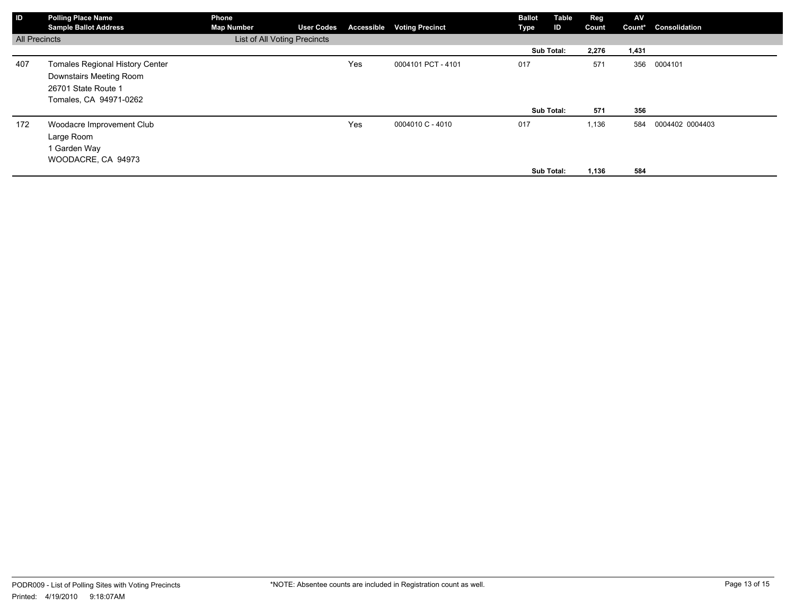| ID                   | <b>Polling Place Name</b><br><b>Sample Ballot Address</b>                                                          | Phone<br><b>Map Number</b>   | <b>User Codes</b> |     | <b>Accessible Voting Precinct</b> | <b>Ballot</b><br>Type | Table<br>ID              | <b>Reg</b><br>Count   | AV<br>Count*      | Consolidation   |
|----------------------|--------------------------------------------------------------------------------------------------------------------|------------------------------|-------------------|-----|-----------------------------------|-----------------------|--------------------------|-----------------------|-------------------|-----------------|
| <b>All Precincts</b> |                                                                                                                    | List of All Voting Precincts |                   |     |                                   |                       |                          |                       |                   |                 |
|                      |                                                                                                                    |                              |                   |     |                                   |                       | Sub Total:               | 2,276                 | 1,431             |                 |
| 407                  | <b>Tomales Regional History Center</b><br>Downstairs Meeting Room<br>26701 State Route 1<br>Tomales, CA 94971-0262 |                              |                   | Yes | 0004101 PCT - 4101                | 017                   |                          | 571                   | 356               | 0004101         |
| 172                  | Woodacre Improvement Club<br>Large Room<br>1 Garden Way<br>WOODACRE, CA 94973                                      |                              |                   | Yes | 0004010 C - 4010                  | 017                   | Sub Total:<br>Sub Total: | 571<br>1,136<br>1,136 | 356<br>584<br>584 | 0004402 0004403 |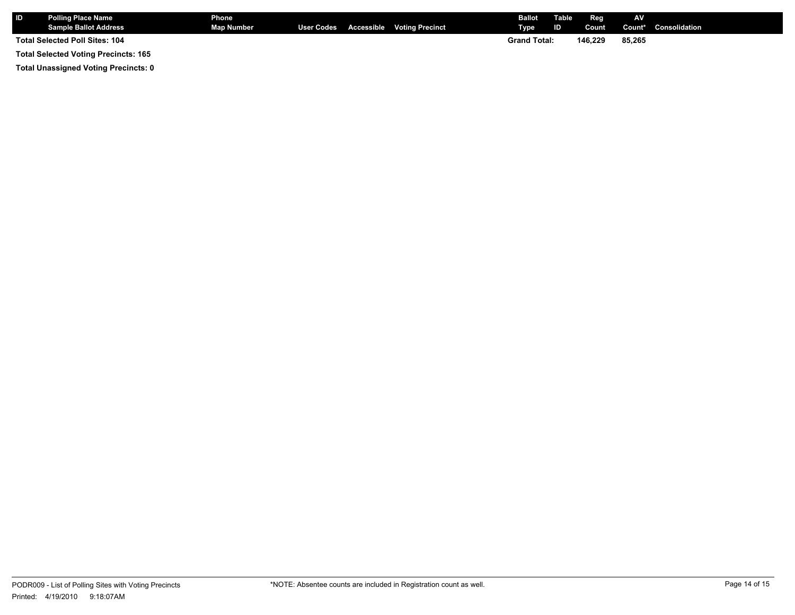| <b>IID</b> | <b>Polling Place Name</b><br><b>Sample Ballot Address</b> | Phone<br><b>Map Number</b> |  | User Codes Accessible Voting Precinct | <b>Ballot</b><br>Type | Table<br>ID. | Reg<br>Count | AV     | <b>Count*</b> Consolidation |
|------------|-----------------------------------------------------------|----------------------------|--|---------------------------------------|-----------------------|--------------|--------------|--------|-----------------------------|
|            | Total Selected Poll Sites: 104                            |                            |  |                                       | <b>Grand Total:</b>   |              | 146.229      | 85.265 |                             |
|            | <b>Total Selected Voting Precincts: 165</b>               |                            |  |                                       |                       |              |              |        |                             |

**Total Unassigned Voting Precincts: 0**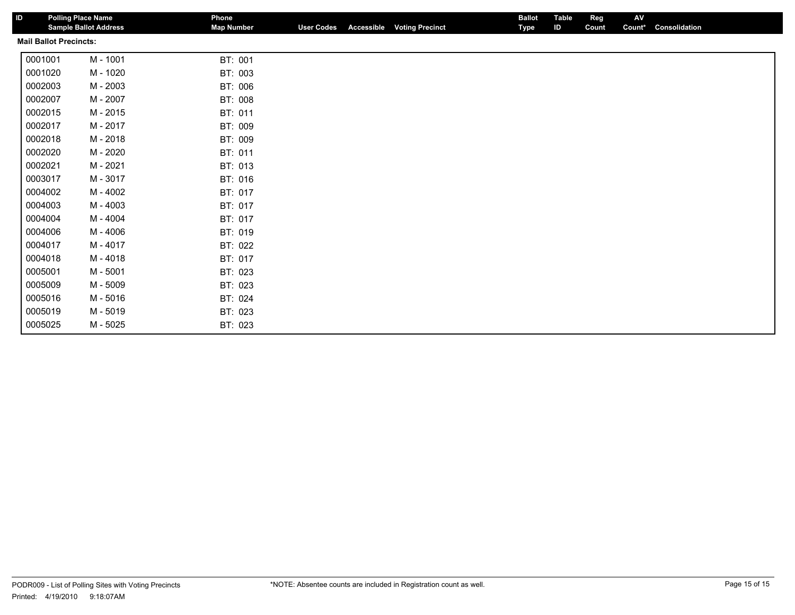| ID |                               | <b>Polling Place Name</b><br><b>Sample Ballot Address</b> | Phone<br><b>Map Number</b> | <b>User Codes</b> | <b>Accessible</b> | <b>Voting Precinct</b> | <b>Ballot</b><br><b>Type</b> | <b>Table</b><br>ID | Reg<br>Count | AV<br>Count* | Consolidation |
|----|-------------------------------|-----------------------------------------------------------|----------------------------|-------------------|-------------------|------------------------|------------------------------|--------------------|--------------|--------------|---------------|
|    | <b>Mail Ballot Precincts:</b> |                                                           |                            |                   |                   |                        |                              |                    |              |              |               |
|    | 0001001                       | M - 1001                                                  | BT: 001                    |                   |                   |                        |                              |                    |              |              |               |
|    | 0001020                       | M - 1020                                                  | BT: 003                    |                   |                   |                        |                              |                    |              |              |               |
|    | 0002003                       | M - 2003                                                  | BT: 006                    |                   |                   |                        |                              |                    |              |              |               |
|    | 0002007                       | M - 2007                                                  | BT: 008                    |                   |                   |                        |                              |                    |              |              |               |
|    | 0002015                       | M - 2015                                                  | BT: 011                    |                   |                   |                        |                              |                    |              |              |               |
|    | 0002017                       | M - 2017                                                  | BT: 009                    |                   |                   |                        |                              |                    |              |              |               |
|    | 0002018                       | M - 2018                                                  | BT: 009                    |                   |                   |                        |                              |                    |              |              |               |
|    | 0002020                       | M - 2020                                                  | BT: 011                    |                   |                   |                        |                              |                    |              |              |               |
|    | 0002021                       | M - 2021                                                  | BT: 013                    |                   |                   |                        |                              |                    |              |              |               |
|    | 0003017                       | M - 3017                                                  | BT: 016                    |                   |                   |                        |                              |                    |              |              |               |
|    | 0004002                       | M - 4002                                                  | BT: 017                    |                   |                   |                        |                              |                    |              |              |               |
|    | 0004003                       | M - 4003                                                  | BT: 017                    |                   |                   |                        |                              |                    |              |              |               |
|    | 0004004                       | M - 4004                                                  | BT: 017                    |                   |                   |                        |                              |                    |              |              |               |
|    | 0004006                       | M - 4006                                                  | BT: 019                    |                   |                   |                        |                              |                    |              |              |               |
|    | 0004017                       | M - 4017                                                  | BT: 022                    |                   |                   |                        |                              |                    |              |              |               |
|    | 0004018                       | M - 4018                                                  | BT: 017                    |                   |                   |                        |                              |                    |              |              |               |
|    | 0005001                       | M - 5001                                                  | BT: 023                    |                   |                   |                        |                              |                    |              |              |               |
|    | 0005009                       | M - 5009                                                  | BT: 023                    |                   |                   |                        |                              |                    |              |              |               |
|    | 0005016                       | M - 5016                                                  | BT: 024                    |                   |                   |                        |                              |                    |              |              |               |
|    | 0005019                       | M - 5019                                                  | BT: 023                    |                   |                   |                        |                              |                    |              |              |               |
|    | 0005025                       | M - 5025                                                  | BT: 023                    |                   |                   |                        |                              |                    |              |              |               |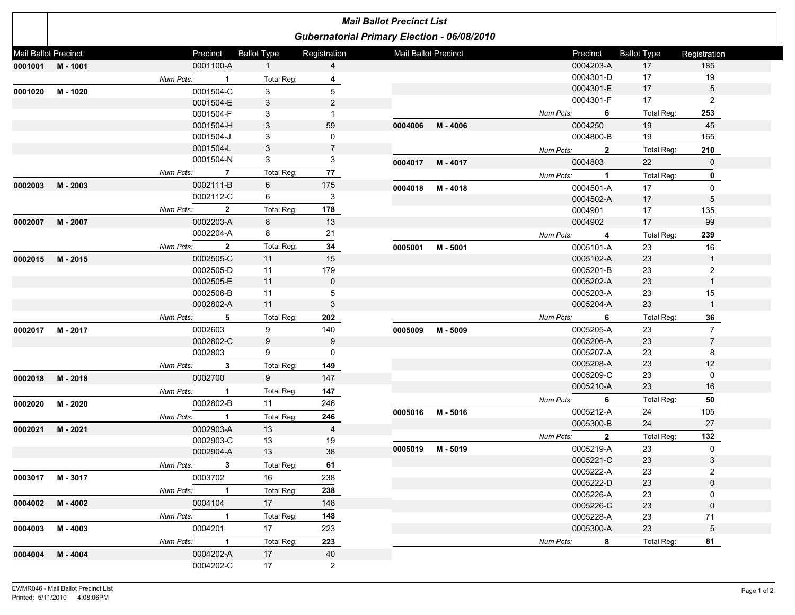|                             | <b>Mail Ballot Precinct List</b> |             |                |                    |                           |                             |                                             |           |                        |                    |                |  |
|-----------------------------|----------------------------------|-------------|----------------|--------------------|---------------------------|-----------------------------|---------------------------------------------|-----------|------------------------|--------------------|----------------|--|
|                             |                                  |             |                |                    |                           |                             | Gubernatorial Primary Election - 06/08/2010 |           |                        |                    |                |  |
| <b>Mail Ballot Precinct</b> |                                  | Precinct    |                | <b>Ballot Type</b> | Registration              | <b>Mail Ballot Precinct</b> |                                             |           | Precinct               | <b>Ballot Type</b> | Registration   |  |
| 0001001 M-1001              |                                  |             | 0001100-A      | $\mathbf{1}$       | $\overline{4}$            |                             |                                             |           | 0004203-A              | 17                 | 185            |  |
|                             |                                  | Num Pcts:   | $\mathbf{1}$   | Total Reg:         | 4                         |                             |                                             |           | 0004301-D              | 17                 | 19             |  |
| 0001020                     | M - 1020                         |             | 0001504-C      | 3                  | 5                         |                             |                                             |           | 0004301-E              | 17                 | 5              |  |
|                             |                                  |             | 0001504-E      | 3                  | $\overline{c}$            |                             |                                             |           | 0004301-F              | 17                 | 2              |  |
|                             |                                  |             | 0001504-F      | 3                  | $\mathbf{1}$              |                             |                                             | Num Pcts: | 6                      | Total Reg:         | 253            |  |
|                             |                                  |             | 0001504-H      | $\mathbf{3}$       | 59                        |                             | 0004006 M-4006                              |           | 0004250                | 19                 | 45             |  |
|                             |                                  |             | 0001504-J      | 3                  | 0                         |                             |                                             |           | 0004800-B              | 19                 | 165            |  |
|                             |                                  |             | 0001504-L      | 3                  | $\overline{7}$            |                             |                                             | Num Pcts: | $\mathbf{2}$           | Total Reg:         | 210            |  |
|                             |                                  |             | 0001504-N      | 3                  | 3                         | 0004017                     | M - 4017                                    |           | 0004803                | 22                 | $\mathbf 0$    |  |
|                             |                                  | Num Pcts:   | $\overline{7}$ | Total Reg:         | 77                        |                             |                                             | Num Pcts: | $\mathbf{1}$           | <b>Total Reg:</b>  | 0              |  |
| 0002003                     | M - 2003                         |             | 0002111-B      | 6                  | 175                       | 0004018                     | M - 4018                                    |           | 0004501-A              | 17                 | 0              |  |
|                             |                                  |             | 0002112-C      | 6                  | $\ensuremath{\mathsf{3}}$ |                             |                                             |           | 0004502-A              | 17                 | 5              |  |
|                             |                                  | Num Pcts:   | $\overline{2}$ | Total Reg:         | 178                       |                             |                                             |           | 0004901                | 17                 | 135            |  |
| 0002007                     | M - 2007                         |             | 0002203-A      | 8                  | 13                        |                             |                                             |           | 0004902                | 17                 | 99             |  |
|                             |                                  |             | 0002204-A      | 8                  | 21                        |                             |                                             | Num Pcts: | 4                      | Total Reg:         | 239            |  |
|                             |                                  | Num Pcts:   | $\mathbf{2}$   | Total Reg:         | 34                        | 0005001                     | M - 5001                                    |           | 0005101-A              | 23                 | 16             |  |
| 0002015                     | M - 2015                         |             | 0002505-C      | 11                 | 15                        |                             |                                             |           | 0005102-A              | 23                 |                |  |
|                             |                                  |             | 0002505-D      | 11                 | 179                       |                             |                                             |           | 0005201-B              | 23                 | 2              |  |
|                             |                                  |             | 0002505-E      | 11                 | $\mathbf 0$               |                             |                                             |           | 0005202-A              | 23                 |                |  |
|                             |                                  |             | 0002506-B      | 11                 | 5                         |                             |                                             |           | 0005203-A              | 23                 | 15             |  |
|                             |                                  |             | 0002802-A      | 11                 | 3                         |                             |                                             |           | 0005204-A              | 23                 | $\overline{1}$ |  |
|                             |                                  | Num Pcts:   | 5              | Total Reg:         | 202                       |                             |                                             | Num Pcts: | 6                      | Total Reg:         | 36             |  |
| 0002017                     | M - 2017                         | 0002603     |                | 9                  | 140                       | 0005009                     | M - 5009                                    |           | 0005205-A              | 23                 | $\overline{7}$ |  |
|                             |                                  |             | 0002802-C      | 9                  | 9                         |                             |                                             |           | 0005206-A              | 23                 | $\overline{7}$ |  |
|                             |                                  | 0002803     |                | 9                  | 0                         |                             |                                             |           | 0005207-A              | 23                 | 8              |  |
|                             |                                  | Num Pcts:   | 3              | Total Reg:         | 149                       |                             |                                             |           | 0005208-A              | 23                 | 12             |  |
| 0002018                     | M - 2018                         | 0002700     |                | 9                  | 147                       |                             |                                             |           | 0005209-C              | 23                 | 0              |  |
|                             |                                  | Num Pcts:   | $\mathbf{1}$   | Total Reg:         | 147                       |                             |                                             |           | 0005210-A              | 23                 | 16             |  |
| 0002020                     | M - 2020                         |             | 0002802-B      | 11                 | 246                       |                             |                                             | Num Pcts: | 6                      | Total Reg:         | 50             |  |
|                             |                                  | Num Pcts:   | $\mathbf{1}$   | Total Reg:         | 246                       |                             | 0005016 M-5016                              |           | 0005212-A              | 24                 | 105            |  |
| 0002021                     | M - 2021                         |             | 0002903-A      | 13                 | $\overline{4}$            |                             |                                             |           | 0005300-B              | 24                 | 27             |  |
|                             |                                  |             | 0002903-C      | 13                 | 19                        |                             |                                             | Num Pcts: | $\overline{2}$         | Total Reg:         | 132            |  |
|                             |                                  |             | 0002904-A      | 13                 | 38                        | 0005019                     | M - 5019                                    |           | 0005219-A              | 23                 | $\mathbf 0$    |  |
|                             |                                  | Num Pcts:   | 3              | Total Reg:         | 61                        |                             |                                             |           | 0005221-C              | 23                 | 3              |  |
| 0003017                     | M - 3017                         | 0003702     |                | 16                 | 238                       |                             |                                             |           | 0005222-A<br>0005222-D | 23<br>23           | 2<br>$\Omega$  |  |
|                             |                                  | Num Pcts:   | $\blacksquare$ | Total Reg:         | 238                       |                             |                                             |           | 0005226-A              | 23                 | 0              |  |
| 0004002                     | M - 4002                         | 0004104     |                | 17                 | 148                       |                             |                                             |           | 0005226-C              | 23                 | $\mathbf 0$    |  |
|                             |                                  | Num Pcts:   | $\blacksquare$ | Total Reg:         | 148                       |                             |                                             |           | 0005228-A              | 23                 | 71             |  |
| 0004003                     | M - 4003                         |             | 0004201        | 17                 | 223                       |                             |                                             |           | 0005300-A              | 23                 | 5              |  |
|                             |                                  | Num Pcts: 1 |                | Total Reg:         | 223                       |                             |                                             | Num Pcts: | 8                      | Total Reg:         | 81             |  |
| 0004004                     | M - 4004                         |             | 0004202-A      | 17                 | 40                        |                             |                                             |           |                        |                    |                |  |
|                             |                                  |             | 0004202-C      | 17                 | $\overline{2}$            |                             |                                             |           |                        |                    |                |  |
|                             |                                  |             |                |                    |                           |                             |                                             |           |                        |                    |                |  |

h